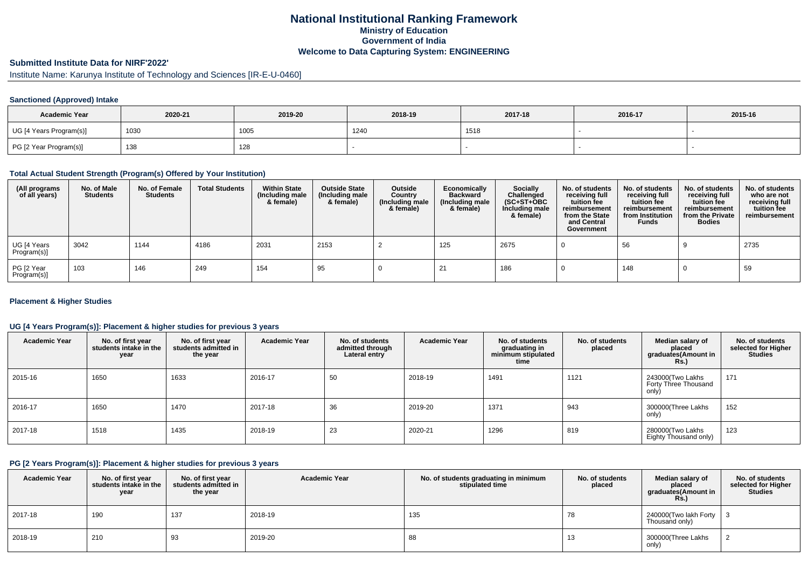# **National Institutional Ranking FrameworkMinistry of Education Government of IndiaWelcome to Data Capturing System: ENGINEERING**

# **Submitted Institute Data for NIRF'2022'**

Institute Name: Karunya Institute of Technology and Sciences [IR-E-U-0460]

## **Sanctioned (Approved) Intake**

| <b>Academic Year</b>    | 2020-21 | 2019-20 | 2018-19 | 2017-18 | 2016-17 | 2015-16 |
|-------------------------|---------|---------|---------|---------|---------|---------|
| UG [4 Years Program(s)] | 1030    | 1005    | 1240    | 1518    |         |         |
| PG [2 Year Program(s)]  | 138     | 128     |         |         |         |         |

#### **Total Actual Student Strength (Program(s) Offered by Your Institution)**

| (All programs<br>of all years) | No. of Male<br><b>Students</b> | No. of Female<br><b>Students</b> | <b>Total Students</b> | <b>Within State</b><br>(Including male<br>& female) | <b>Outside State</b><br>(Including male<br>& female) | Outside<br>Country<br>(Including male<br>& female) | Economically<br><b>Backward</b><br>(Including male<br>& female) | Socially<br>Challenged<br>$(SC+ST+OBC)$<br>Including male<br>& female) | No. of students<br>receiving full<br>tuition fee<br>reimbursement<br>from the State<br>and Central<br>Government | No. of students<br>receiving full<br>tuition fee<br>reimbursement<br>from Institution<br><b>Funds</b> | No. of students<br>receiving full<br>tuition fee<br>reimbursement<br>from the Private<br><b>Bodies</b> | No. of students<br>who are not<br>receiving full<br>tuition fee<br>reimbursement |
|--------------------------------|--------------------------------|----------------------------------|-----------------------|-----------------------------------------------------|------------------------------------------------------|----------------------------------------------------|-----------------------------------------------------------------|------------------------------------------------------------------------|------------------------------------------------------------------------------------------------------------------|-------------------------------------------------------------------------------------------------------|--------------------------------------------------------------------------------------------------------|----------------------------------------------------------------------------------|
| UG [4 Years<br>Program(s)]     | 3042                           | 1144                             | 4186                  | 2031                                                | 2153                                                 |                                                    | 125                                                             | 2675                                                                   |                                                                                                                  | 56                                                                                                    |                                                                                                        | 2735                                                                             |
| PG [2 Year<br>Program(s)]      | 103                            | 146                              | 249                   | 154                                                 | 95                                                   |                                                    |                                                                 | 186                                                                    |                                                                                                                  | 148                                                                                                   |                                                                                                        | 59                                                                               |

### **Placement & Higher Studies**

### **UG [4 Years Program(s)]: Placement & higher studies for previous 3 years**

| <b>Academic Year</b> | No. of first year<br>students intake in the<br>year | No. of first vear<br>students admitted in<br>the year | <b>Academic Year</b> | No. of students<br>admitted through<br>Lateral entry | <b>Academic Year</b> | No. of students<br>graduating in<br>minimum stipulated<br>time | No. of students<br>placed | Median salary of<br>placed<br>graduates(Amount in<br>Rs.) | No. of students<br>selected for Higher<br><b>Studies</b> |
|----------------------|-----------------------------------------------------|-------------------------------------------------------|----------------------|------------------------------------------------------|----------------------|----------------------------------------------------------------|---------------------------|-----------------------------------------------------------|----------------------------------------------------------|
| 2015-16              | 1650                                                | 1633                                                  | 2016-17              | 50                                                   | 2018-19              | 1491                                                           | 1121                      | 243000(Two Lakhs<br>Forty Three Thousand<br>only)         | 171                                                      |
| 2016-17              | 1650                                                | 1470                                                  | 2017-18              | 36                                                   | 2019-20              | 1371                                                           | 943                       | 300000(Three Lakhs<br>only)                               | 152                                                      |
| 2017-18              | 1518                                                | 1435                                                  | 2018-19              | 23                                                   | 2020-21              | 1296                                                           | 819                       | 280000 Two Lakhs<br>Eighty Thousand only)                 | 123                                                      |

#### **PG [2 Years Program(s)]: Placement & higher studies for previous 3 years**

| <b>Academic Year</b> | No. of first year<br>students intake in the<br>year | No. of first year<br>students admitted in<br>the year | <b>Academic Year</b> | No. of students graduating in minimum<br>stipulated time | No. of students<br>placed | Median salary of<br>placed<br>graduates(Amount in<br>Rs. | No. of students<br>selected for Higher<br><b>Studies</b> |
|----------------------|-----------------------------------------------------|-------------------------------------------------------|----------------------|----------------------------------------------------------|---------------------------|----------------------------------------------------------|----------------------------------------------------------|
| 2017-18              | 190                                                 | 137                                                   | 2018-19              | 135                                                      | 78                        | 240000(Two lakh Forty   3<br>Thousand only)              |                                                          |
| 2018-19              | 210                                                 | 93                                                    | 2019-20              | 88                                                       | 13                        | 300000(Three Lakhs<br>only)                              |                                                          |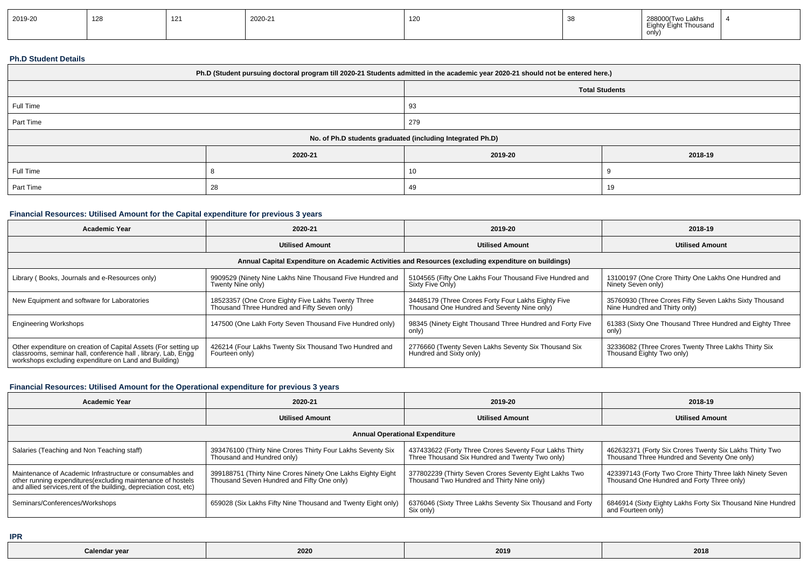| 2019-20 | $\sqrt{2}$<br>128 | $\overline{A}$<br>$\sim$ | 2020-21 | 120 |  | 288000 Two Lakhs<br>Eich <sub>2</sub><br>ight Thousand<br>. <del>.</del><br>only) |  |
|---------|-------------------|--------------------------|---------|-----|--|-----------------------------------------------------------------------------------|--|
|---------|-------------------|--------------------------|---------|-----|--|-----------------------------------------------------------------------------------|--|

#### **Ph.D Student Details**

| Ph.D (Student pursuing doctoral program till 2020-21 Students admitted in the academic year 2020-21 should not be entered here.) |                |                                                            |         |  |  |  |  |
|----------------------------------------------------------------------------------------------------------------------------------|----------------|------------------------------------------------------------|---------|--|--|--|--|
| <b>Total Students</b>                                                                                                            |                |                                                            |         |  |  |  |  |
| Full Time                                                                                                                        |                | 93                                                         |         |  |  |  |  |
| Part Time                                                                                                                        |                | 279                                                        |         |  |  |  |  |
|                                                                                                                                  |                | No. of Ph.D students graduated (including Integrated Ph.D) |         |  |  |  |  |
|                                                                                                                                  | 2020-21        | 2019-20                                                    | 2018-19 |  |  |  |  |
| Full Time                                                                                                                        |                | 10                                                         |         |  |  |  |  |
| Part Time                                                                                                                        | 28<br>19<br>49 |                                                            |         |  |  |  |  |

## **Financial Resources: Utilised Amount for the Capital expenditure for previous 3 years**

| <b>Academic Year</b>                                                                                                                                                                      | 2020-21                                                                                              | 2019-20                                                                                            | 2018-19                                                                                  |  |  |  |  |  |
|-------------------------------------------------------------------------------------------------------------------------------------------------------------------------------------------|------------------------------------------------------------------------------------------------------|----------------------------------------------------------------------------------------------------|------------------------------------------------------------------------------------------|--|--|--|--|--|
|                                                                                                                                                                                           | <b>Utilised Amount</b>                                                                               | <b>Utilised Amount</b>                                                                             | <b>Utilised Amount</b>                                                                   |  |  |  |  |  |
|                                                                                                                                                                                           | Annual Capital Expenditure on Academic Activities and Resources (excluding expenditure on buildings) |                                                                                                    |                                                                                          |  |  |  |  |  |
| Library (Books, Journals and e-Resources only)                                                                                                                                            | 9909529 (Ninety Nine Lakhs Nine Thousand Five Hundred and<br>Twenty Nine only)                       | 5104565 (Fifty One Lakhs Four Thousand Five Hundred and<br>Sixty Five Only)                        | 13100197 (One Crore Thirty One Lakhs One Hundred and<br>Ninety Seven only)               |  |  |  |  |  |
| New Equipment and software for Laboratories                                                                                                                                               | 18523357 (One Crore Eighty Five Lakhs Twenty Three<br>Thousand Three Hundred and Fifty Seven only)   | 34485179 (Three Crores Forty Four Lakhs Eighty Five<br>Thousand One Hundred and Seventy Nine only) | 35760930 (Three Crores Fifty Seven Lakhs Sixty Thousand<br>Nine Hundred and Thirty only) |  |  |  |  |  |
| <b>Engineering Workshops</b>                                                                                                                                                              | 147500 (One Lakh Forty Seven Thousand Five Hundred only)                                             | 98345 (Ninety Eight Thousand Three Hundred and Forty Five<br>only)                                 | 61383 (Sixty One Thousand Three Hundred and Eighty Three<br>only)                        |  |  |  |  |  |
| Other expenditure on creation of Capital Assets (For setting up<br>classrooms, seminar hall, conference hall, library, Lab, Engg<br>workshops excluding expenditure on Land and Building) | 426214 (Four Lakhs Twenty Six Thousand Two Hundred and<br>Fourteen only)                             | 2776660 (Twenty Seven Lakhs Seventy Six Thousand Six<br>Hundred and Sixty only)                    | 32336082 (Three Crores Twenty Three Lakhs Thirty Six<br>Thousand Eighty Two only)        |  |  |  |  |  |

### **Financial Resources: Utilised Amount for the Operational expenditure for previous 3 years**

| <b>Academic Year</b>                                                                                                                                                                            | 2020-21                                                                                                   | 2019-20                                                                                                    | 2018-19                                                                                                 |  |  |  |  |  |
|-------------------------------------------------------------------------------------------------------------------------------------------------------------------------------------------------|-----------------------------------------------------------------------------------------------------------|------------------------------------------------------------------------------------------------------------|---------------------------------------------------------------------------------------------------------|--|--|--|--|--|
|                                                                                                                                                                                                 | <b>Utilised Amount</b>                                                                                    | <b>Utilised Amount</b>                                                                                     | <b>Utilised Amount</b>                                                                                  |  |  |  |  |  |
| <b>Annual Operational Expenditure</b>                                                                                                                                                           |                                                                                                           |                                                                                                            |                                                                                                         |  |  |  |  |  |
| Salaries (Teaching and Non Teaching staff)                                                                                                                                                      | 393476100 (Thirty Nine Crores Thirty Four Lakhs Seventy Six<br>Thousand and Hundred only)                 | 437433622 (Forty Three Crores Seventy Four Lakhs Thirty<br>Three Thousand Six Hundred and Twenty Two only) | 462632371 (Forty Six Crores Twenty Six Lakhs Thirty Two<br>Thousand Three Hundred and Seventy One only) |  |  |  |  |  |
| Maintenance of Academic Infrastructure or consumables and<br>other running expenditures (excluding maintenance of hostels<br>and allied services, rent of the building, depreciation cost, etc) | 399188751 (Thirty Nine Crores Ninety One Lakhs Eighty Eight<br>Thousand Seven Hundred and Fifty One only) | 377802239 (Thirty Seven Crores Seventy Eight Lakhs Two<br>Thousand Two Hundred and Thirty Nine only)       | 423397143 (Forty Two Crore Thirty Three lakh Ninety Seven<br>Thousand One Hundred and Forty Three only) |  |  |  |  |  |
| Seminars/Conferences/Workshops                                                                                                                                                                  | 659028 (Six Lakhs Fifty Nine Thousand and Twenty Eight only)                                              | 6376046 (Sixty Three Lakhs Seventy Six Thousand and Forty<br>Six only)                                     | 6846914 (Sixty Eighty Lakhs Forty Six Thousand Nine Hundred<br>and Fourteen only)                       |  |  |  |  |  |

**IPR**

| Calenda <sup>,</sup><br><br>vea | 2020 | 2019 | 201' |
|---------------------------------|------|------|------|
|---------------------------------|------|------|------|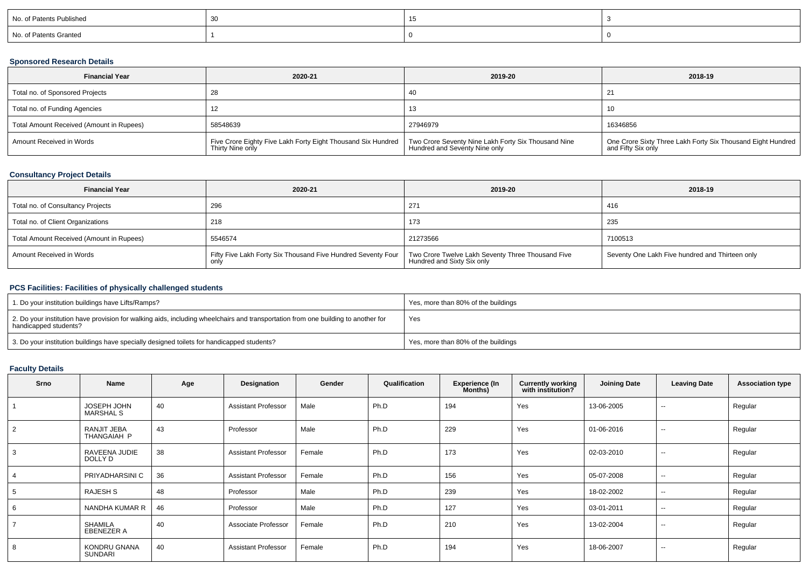| No. of Patents Published |  |  |
|--------------------------|--|--|
| No. of Patents Granted   |  |  |

# **Sponsored Research Details**

| <b>Financial Year</b>                    | 2020-21                                                                          | 2019-20                                                                              | 2018-19                                                                             |
|------------------------------------------|----------------------------------------------------------------------------------|--------------------------------------------------------------------------------------|-------------------------------------------------------------------------------------|
| Total no. of Sponsored Projects          |                                                                                  | 40                                                                                   | 21                                                                                  |
| Total no. of Funding Agencies            |                                                                                  | 13                                                                                   | -10                                                                                 |
| Total Amount Received (Amount in Rupees) | 58548639                                                                         | 27946979                                                                             | 16346856                                                                            |
| Amount Received in Words                 | Five Crore Eighty Five Lakh Forty Eight Thousand Six Hundred<br>Thirty Nine only | Two Crore Seventy Nine Lakh Forty Six Thousand Nine<br>Hundred and Seventy Nine only | One Crore Sixty Three Lakh Forty Six Thousand Eight Hundred  <br>and Fifty Six only |

## **Consultancy Project Details**

| <b>Financial Year</b>                    | 2020-21                                                      | 2019-20                                                                         | 2018-19                                         |
|------------------------------------------|--------------------------------------------------------------|---------------------------------------------------------------------------------|-------------------------------------------------|
| Total no. of Consultancy Projects        | 296                                                          | 271                                                                             | -416                                            |
| Total no. of Client Organizations        | 218                                                          | 173                                                                             | 235                                             |
| Total Amount Received (Amount in Rupees) | 5546574                                                      | 21273566                                                                        | 7100513                                         |
| Amount Received in Words                 | Fifty Five Lakh Forty Six Thousand Five Hundred Seventy Four | Two Crore Twelve Lakh Seventy Three Thousand Five<br>Hundred and Sixty Six only | Seventy One Lakh Five hundred and Thirteen only |

### **PCS Facilities: Facilities of physically challenged students**

| 1. Do your institution buildings have Lifts/Ramps?                                                                                                         | Yes, more than 80% of the buildings |
|------------------------------------------------------------------------------------------------------------------------------------------------------------|-------------------------------------|
| 2. Do your institution have provision for walking aids, including wheelchairs and transportation from one building to another for<br>handicapped students? | Yes                                 |
| 3. Do your institution buildings have specially designed toilets for handicapped students?                                                                 | Yes, more than 80% of the buildings |

# **Faculty Details**

| <b>Srno</b> | Name                                | Age | Designation                | Gender | Qualification | <b>Experience (In</b><br>Months) | <b>Currently working</b><br>with institution? | <b>Joining Date</b> | <b>Leaving Date</b>      | <b>Association type</b> |
|-------------|-------------------------------------|-----|----------------------------|--------|---------------|----------------------------------|-----------------------------------------------|---------------------|--------------------------|-------------------------|
|             | JOSEPH JOHN<br><b>MARSHAL S</b>     | 40  | <b>Assistant Professor</b> | Male   | Ph.D          | 194                              | Yes                                           | 13-06-2005          | $\overline{\phantom{a}}$ | Regular                 |
| 2           | RANJIT JEBA<br>THANGAIAH P          | 43  | Professor                  | Male   | Ph.D          | 229                              | Yes                                           | 01-06-2016          | $\sim$                   | Regular                 |
| 3           | RAVEENA JUDIE<br>DOLLY D            | 38  | <b>Assistant Professor</b> | Female | Ph.D          | 173                              | Yes                                           | 02-03-2010          | $\overline{\phantom{a}}$ | Regular                 |
|             | PRIYADHARSINI C                     | 36  | <b>Assistant Professor</b> | Female | Ph.D          | 156                              | Yes                                           | 05-07-2008          | $- -$                    | Regular                 |
|             | RAJESH S                            | 48  | Professor                  | Male   | Ph.D          | 239                              | Yes                                           | 18-02-2002          | $\overline{\phantom{a}}$ | Regular                 |
| 6           | NANDHA KUMAR R                      | 46  | Professor                  | Male   | Ph.D          | 127                              | Yes                                           | 03-01-2011          | $\overline{\phantom{a}}$ | Regular                 |
|             | <b>SHAMILA</b><br><b>EBENEZER A</b> | 40  | Associate Professor        | Female | Ph.D          | 210                              | Yes                                           | 13-02-2004          | $\overline{\phantom{a}}$ | Regular                 |
| 8           | KONDRU GNANA<br><b>SUNDARI</b>      | 40  | <b>Assistant Professor</b> | Female | Ph.D          | 194                              | Yes                                           | 18-06-2007          | $\overline{\phantom{a}}$ | Regular                 |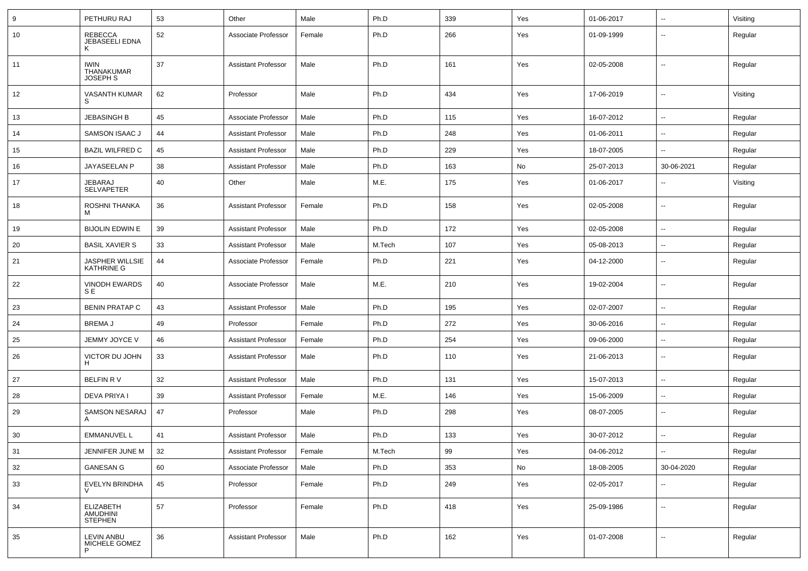| 9  | PETHURU RAJ                                  | 53 | Other                      | Male   | Ph.D   | 339 | Yes | 01-06-2017 | ⊷.                       | Visiting |
|----|----------------------------------------------|----|----------------------------|--------|--------|-----|-----|------------|--------------------------|----------|
| 10 | REBECCA<br>JEBASEELI EDNA                    | 52 | Associate Professor        | Female | Ph.D   | 266 | Yes | 01-09-1999 | --                       | Regular  |
| 11 | <b>IWIN</b><br>THANAKUMAR<br><b>JOSEPH S</b> | 37 | <b>Assistant Professor</b> | Male   | Ph.D   | 161 | Yes | 02-05-2008 | ⊷.                       | Regular  |
| 12 | <b>VASANTH KUMAR</b><br>S                    | 62 | Professor                  | Male   | Ph.D   | 434 | Yes | 17-06-2019 | ⊶.                       | Visiting |
| 13 | <b>JEBASINGH B</b>                           | 45 | Associate Professor        | Male   | Ph.D   | 115 | Yes | 16-07-2012 | ⊷.                       | Regular  |
| 14 | SAMSON ISAAC J                               | 44 | <b>Assistant Professor</b> | Male   | Ph.D   | 248 | Yes | 01-06-2011 | ⊷.                       | Regular  |
| 15 | <b>BAZIL WILFRED C</b>                       | 45 | <b>Assistant Professor</b> | Male   | Ph.D   | 229 | Yes | 18-07-2005 | -−                       | Regular  |
| 16 | JAYASEELAN P                                 | 38 | <b>Assistant Professor</b> | Male   | Ph.D   | 163 | No  | 25-07-2013 | 30-06-2021               | Regular  |
| 17 | JEBARAJ<br>SELVAPETER                        | 40 | Other                      | Male   | M.E.   | 175 | Yes | 01-06-2017 | -−                       | Visiting |
| 18 | ROSHNI THANKA<br>M                           | 36 | <b>Assistant Professor</b> | Female | Ph.D   | 158 | Yes | 02-05-2008 | $\overline{\phantom{a}}$ | Regular  |
| 19 | <b>BIJOLIN EDWIN E</b>                       | 39 | <b>Assistant Professor</b> | Male   | Ph.D   | 172 | Yes | 02-05-2008 | --                       | Regular  |
| 20 | <b>BASIL XAVIER S</b>                        | 33 | <b>Assistant Professor</b> | Male   | M.Tech | 107 | Yes | 05-08-2013 | $\overline{\phantom{a}}$ | Regular  |
| 21 | JASPHER WILLSIE<br><b>KATHRINE G</b>         | 44 | Associate Professor        | Female | Ph.D   | 221 | Yes | 04-12-2000 | ⊷.                       | Regular  |
| 22 | <b>VINODH EWARDS</b><br><b>SE</b>            | 40 | Associate Professor        | Male   | M.E.   | 210 | Yes | 19-02-2004 | $\sim$                   | Regular  |
| 23 | <b>BENIN PRATAP C</b>                        | 43 | <b>Assistant Professor</b> | Male   | Ph.D   | 195 | Yes | 02-07-2007 | $\sim$                   | Regular  |
| 24 | <b>BREMAJ</b>                                | 49 | Professor                  | Female | Ph.D   | 272 | Yes | 30-06-2016 | ⊷.                       | Regular  |
| 25 | JEMMY JOYCE V                                | 46 | <b>Assistant Professor</b> | Female | Ph.D   | 254 | Yes | 09-06-2000 | --                       | Regular  |
| 26 | VICTOR DU JOHN                               | 33 | <b>Assistant Professor</b> | Male   | Ph.D   | 110 | Yes | 21-06-2013 | ⊷.                       | Regular  |
| 27 | BELFIN RV                                    | 32 | <b>Assistant Professor</b> | Male   | Ph.D   | 131 | Yes | 15-07-2013 | ⊷.                       | Regular  |
| 28 | DEVA PRIYA I                                 | 39 | <b>Assistant Professor</b> | Female | M.E.   | 146 | Yes | 15-06-2009 | --                       | Regular  |
| 29 | SAMSON NESARAJ<br>$\mathsf{A}$               | 47 | Professor                  | Male   | Ph.D   | 298 | Yes | 08-07-2005 | --                       | Regular  |
| 30 | <b>EMMANUVEL L</b>                           | 41 | <b>Assistant Professor</b> | Male   | Ph.D   | 133 | Yes | 30-07-2012 | -−                       | Regular  |
| 31 | JENNIFER JUNE M                              | 32 | <b>Assistant Professor</b> | Female | M.Tech | 99  | Yes | 04-06-2012 | Щ,                       | Regular  |
| 32 | <b>GANESAN G</b>                             | 60 | Associate Professor        | Male   | Ph.D   | 353 | No  | 18-08-2005 | 30-04-2020               | Regular  |
| 33 | EVELYN BRINDHA                               | 45 | Professor                  | Female | Ph.D   | 249 | Yes | 02-05-2017 | $\overline{\phantom{a}}$ | Regular  |
| 34 | ELIZABETH<br>AMUDHINI<br><b>STEPHEN</b>      | 57 | Professor                  | Female | Ph.D   | 418 | Yes | 25-09-1986 | $\overline{\phantom{a}}$ | Regular  |
| 35 | <b>LEVIN ANBU</b><br>MICHELE GOMEZ           | 36 | <b>Assistant Professor</b> | Male   | Ph.D   | 162 | Yes | 01-07-2008 | ⊶.                       | Regular  |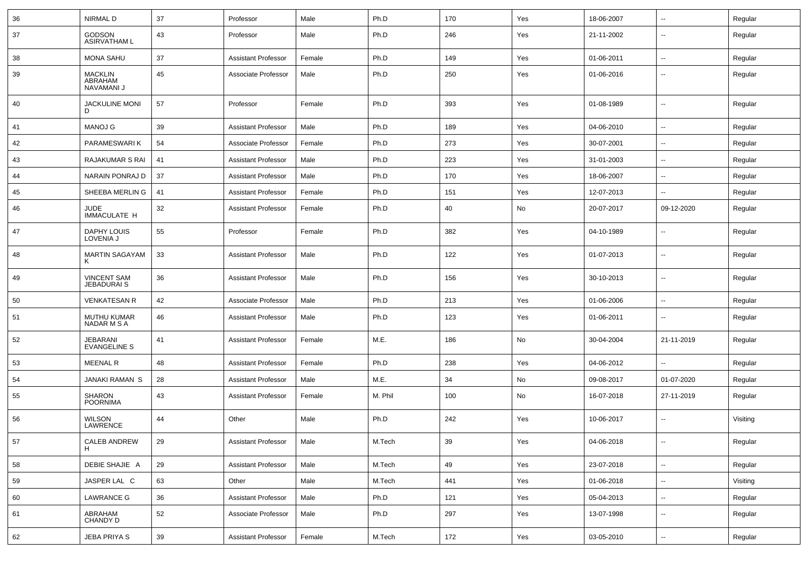| 36 | <b>NIRMAL D</b>                          | 37 | Professor                  | Male   | Ph.D    | 170    | Yes | 18-06-2007 | $\overline{\phantom{a}}$ | Regular  |
|----|------------------------------------------|----|----------------------------|--------|---------|--------|-----|------------|--------------------------|----------|
| 37 | <b>GODSON</b><br><b>ASIRVATHAM L</b>     | 43 | Professor                  | Male   | Ph.D    | 246    | Yes | 21-11-2002 | $\overline{\phantom{a}}$ | Regular  |
| 38 | <b>MONA SAHU</b>                         | 37 | <b>Assistant Professor</b> | Female | Ph.D    | 149    | Yes | 01-06-2011 | Ξ.                       | Regular  |
| 39 | <b>MACKLIN</b><br>ABRAHAM<br>NAVAMANI J  | 45 | Associate Professor        | Male   | Ph.D    | 250    | Yes | 01-06-2016 | --                       | Regular  |
| 40 | <b>JACKULINE MONI</b><br>D               | 57 | Professor                  | Female | Ph.D    | 393    | Yes | 01-08-1989 | $\mathbf{u}$             | Regular  |
| 41 | <b>MANOJ G</b>                           | 39 | <b>Assistant Professor</b> | Male   | Ph.D    | 189    | Yes | 04-06-2010 | Ξ.                       | Regular  |
| 42 | PARAMESWARI K                            | 54 | Associate Professor        | Female | Ph.D    | 273    | Yes | 30-07-2001 | $\overline{\phantom{a}}$ | Regular  |
| 43 | RAJAKUMAR S RAI                          | 41 | <b>Assistant Professor</b> | Male   | Ph.D    | 223    | Yes | 31-01-2003 | $\overline{\phantom{a}}$ | Regular  |
| 44 | NARAIN PONRAJ D                          | 37 | <b>Assistant Professor</b> | Male   | Ph.D    | 170    | Yes | 18-06-2007 | $\overline{\phantom{a}}$ | Regular  |
| 45 | SHEEBA MERLIN G                          | 41 | <b>Assistant Professor</b> | Female | Ph.D    | 151    | Yes | 12-07-2013 | $\overline{\phantom{a}}$ | Regular  |
| 46 | JUDE<br><b>IMMACULATE H</b>              | 32 | <b>Assistant Professor</b> | Female | Ph.D    | 40     | No  | 20-07-2017 | 09-12-2020               | Regular  |
| 47 | DAPHY LOUIS<br>LOVENIA J                 | 55 | Professor                  | Female | Ph.D    | 382    | Yes | 04-10-1989 | $\overline{\phantom{a}}$ | Regular  |
| 48 | <b>MARTIN SAGAYAM</b>                    | 33 | <b>Assistant Professor</b> | Male   | Ph.D    | 122    | Yes | 01-07-2013 | $\overline{\phantom{a}}$ | Regular  |
| 49 | <b>VINCENT SAM</b><br><b>JEBADURAI S</b> | 36 | <b>Assistant Professor</b> | Male   | Ph.D    | 156    | Yes | 30-10-2013 | $\overline{\phantom{a}}$ | Regular  |
| 50 | <b>VENKATESAN R</b>                      | 42 | Associate Professor        | Male   | Ph.D    | 213    | Yes | 01-06-2006 | Щ,                       | Regular  |
| 51 | MUTHU KUMAR<br>NADAR M S A               | 46 | <b>Assistant Professor</b> | Male   | Ph.D    | 123    | Yes | 01-06-2011 | $\overline{\phantom{a}}$ | Regular  |
| 52 | JEBARANI<br><b>EVANGELINE S</b>          | 41 | <b>Assistant Professor</b> | Female | M.E.    | 186    | No  | 30-04-2004 | 21-11-2019               | Regular  |
| 53 | <b>MEENAL R</b>                          | 48 | <b>Assistant Professor</b> | Female | Ph.D    | 238    | Yes | 04-06-2012 | $\overline{\phantom{a}}$ | Regular  |
| 54 | <b>JANAKI RAMAN S</b>                    | 28 | <b>Assistant Professor</b> | Male   | M.E.    | 34     | No  | 09-08-2017 | 01-07-2020               | Regular  |
| 55 | <b>SHARON</b><br><b>POORNIMA</b>         | 43 | <b>Assistant Professor</b> | Female | M. Phil | 100    | No  | 16-07-2018 | 27-11-2019               | Regular  |
| 56 | <b>WILSON</b><br>LAWRENCE                | 44 | Other                      | Male   | Ph.D    | 242    | Yes | 10-06-2017 | $\overline{\phantom{a}}$ | Visiting |
| 57 | CALEB ANDREW<br>H                        | 29 | Assistant Professor        | Male   | M.Tech  | $39\,$ | Yes | 04-06-2018 |                          | Regular  |
| 58 | DEBIE SHAJIE A                           | 29 | <b>Assistant Professor</b> | Male   | M.Tech  | 49     | Yes | 23-07-2018 | --                       | Regular  |
| 59 | JASPER LAL C                             | 63 | Other                      | Male   | M.Tech  | 441    | Yes | 01-06-2018 | $\overline{\phantom{a}}$ | Visiting |
| 60 | <b>LAWRANCE G</b>                        | 36 | <b>Assistant Professor</b> | Male   | Ph.D    | 121    | Yes | 05-04-2013 | $\overline{\phantom{a}}$ | Regular  |
| 61 | ABRAHAM<br>CHANDY D                      | 52 | Associate Professor        | Male   | Ph.D    | 297    | Yes | 13-07-1998 | ₩,                       | Regular  |
| 62 | JEBA PRIYA S                             | 39 | <b>Assistant Professor</b> | Female | M.Tech  | 172    | Yes | 03-05-2010 | $\overline{\phantom{a}}$ | Regular  |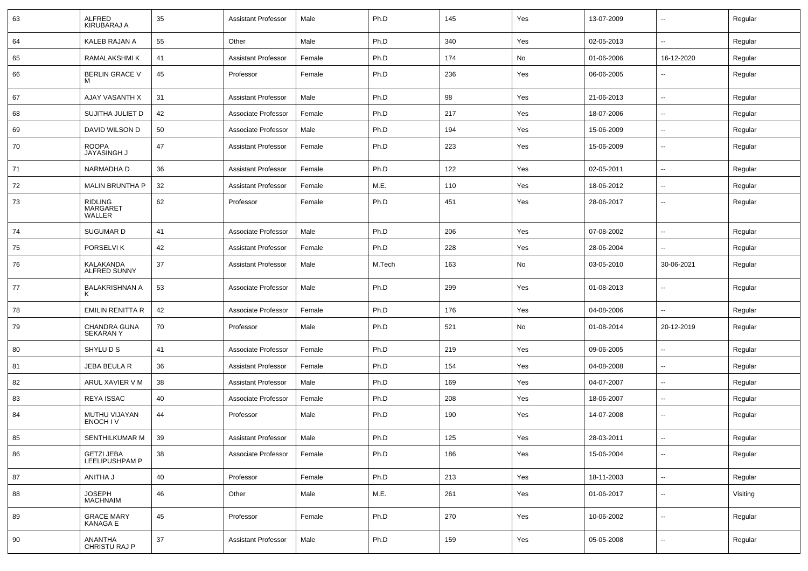| 63 | <b>ALFRED</b><br>KIRUBARAJ A                | 35 | <b>Assistant Professor</b> | Male   | Ph.D   | 145 | Yes | 13-07-2009 | $\sim$                   | Regular  |
|----|---------------------------------------------|----|----------------------------|--------|--------|-----|-----|------------|--------------------------|----------|
| 64 | KALEB RAJAN A                               | 55 | Other                      | Male   | Ph.D   | 340 | Yes | 02-05-2013 | $\sim$                   | Regular  |
| 65 | RAMALAKSHMI K                               | 41 | <b>Assistant Professor</b> | Female | Ph.D   | 174 | No  | 01-06-2006 | 16-12-2020               | Regular  |
| 66 | BERLIN GRACE V<br>м                         | 45 | Professor                  | Female | Ph.D   | 236 | Yes | 06-06-2005 | $\overline{\phantom{a}}$ | Regular  |
| 67 | AJAY VASANTH X                              | 31 | <b>Assistant Professor</b> | Male   | Ph.D   | 98  | Yes | 21-06-2013 | $\sim$                   | Regular  |
| 68 | SUJITHA JULIET D                            | 42 | Associate Professor        | Female | Ph.D   | 217 | Yes | 18-07-2006 | $\overline{\phantom{a}}$ | Regular  |
| 69 | DAVID WILSON D                              | 50 | Associate Professor        | Male   | Ph.D   | 194 | Yes | 15-06-2009 | --                       | Regular  |
| 70 | <b>ROOPA</b><br>JAYASINGH J                 | 47 | <b>Assistant Professor</b> | Female | Ph.D   | 223 | Yes | 15-06-2009 | $\sim$                   | Regular  |
| 71 | NARMADHA D                                  | 36 | <b>Assistant Professor</b> | Female | Ph.D   | 122 | Yes | 02-05-2011 | $\sim$                   | Regular  |
| 72 | <b>MALIN BRUNTHA P</b>                      | 32 | <b>Assistant Professor</b> | Female | M.E.   | 110 | Yes | 18-06-2012 | $\sim$                   | Regular  |
| 73 | <b>RIDLING</b><br><b>MARGARET</b><br>WALLER | 62 | Professor                  | Female | Ph.D   | 451 | Yes | 28-06-2017 | $\overline{\phantom{a}}$ | Regular  |
| 74 | SUGUMAR D                                   | 41 | Associate Professor        | Male   | Ph.D   | 206 | Yes | 07-08-2002 | $\sim$                   | Regular  |
| 75 | PORSELVI K                                  | 42 | <b>Assistant Professor</b> | Female | Ph.D   | 228 | Yes | 28-06-2004 | $\overline{\phantom{a}}$ | Regular  |
| 76 | KALAKANDA<br><b>ALFRED SUNNY</b>            | 37 | <b>Assistant Professor</b> | Male   | M.Tech | 163 | No  | 03-05-2010 | 30-06-2021               | Regular  |
| 77 | <b>BALAKRISHNAN A</b>                       | 53 | Associate Professor        | Male   | Ph.D   | 299 | Yes | 01-08-2013 | --                       | Regular  |
| 78 | <b>EMILIN RENITTA R</b>                     | 42 | Associate Professor        | Female | Ph.D   | 176 | Yes | 04-08-2006 | $\overline{\phantom{a}}$ | Regular  |
| 79 | CHANDRA GUNA<br><b>SEKARANY</b>             | 70 | Professor                  | Male   | Ph.D   | 521 | No  | 01-08-2014 | 20-12-2019               | Regular  |
| 80 | SHYLU D S                                   | 41 | Associate Professor        | Female | Ph.D   | 219 | Yes | 09-06-2005 | $\overline{\phantom{a}}$ | Regular  |
| 81 | JEBA BEULA R                                | 36 | <b>Assistant Professor</b> | Female | Ph.D   | 154 | Yes | 04-08-2008 | $\overline{\phantom{a}}$ | Regular  |
| 82 | ARUL XAVIER V M                             | 38 | <b>Assistant Professor</b> | Male   | Ph.D   | 169 | Yes | 04-07-2007 | $\sim$                   | Regular  |
| 83 | <b>REYA ISSAC</b>                           | 40 | Associate Professor        | Female | Ph.D   | 208 | Yes | 18-06-2007 | $\sim$                   | Regular  |
| 84 | MUTHU VIJAYAN<br>ENOCH IV                   | 44 | Professor                  | Male   | Ph.D   | 190 | Yes | 14-07-2008 | $\sim$                   | Regular  |
| 85 | SENTHILKUMAR M                              | 39 | <b>Assistant Professor</b> | Male   | Ph.D   | 125 | Yes | 28-03-2011 | $\overline{\phantom{a}}$ | Regular  |
| 86 | GETZI JEBA<br>LEELIPUSHPAM P                | 38 | Associate Professor        | Female | Ph.D   | 186 | Yes | 15-06-2004 | $\overline{\phantom{a}}$ | Regular  |
| 87 | ANITHA J                                    | 40 | Professor                  | Female | Ph.D   | 213 | Yes | 18-11-2003 | $\sim$                   | Regular  |
| 88 | <b>JOSEPH</b><br><b>MACHNAIM</b>            | 46 | Other                      | Male   | M.E.   | 261 | Yes | 01-06-2017 | $\overline{\phantom{a}}$ | Visiting |
| 89 | <b>GRACE MARY</b><br><b>KANAGA E</b>        | 45 | Professor                  | Female | Ph.D   | 270 | Yes | 10-06-2002 | $\overline{\phantom{a}}$ | Regular  |
| 90 | <b>ANANTHA</b><br>CHRISTU RAJ P             | 37 | <b>Assistant Professor</b> | Male   | Ph.D   | 159 | Yes | 05-05-2008 | $\overline{\phantom{a}}$ | Regular  |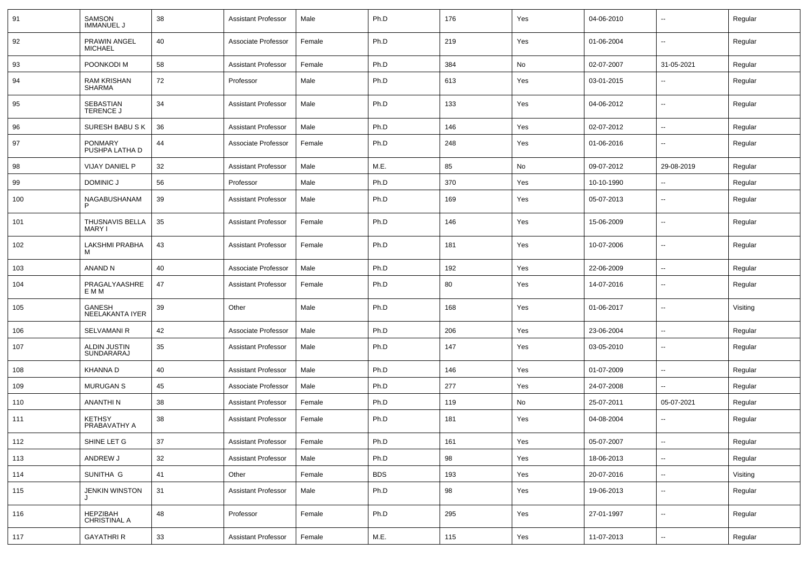| 91  | <b>SAMSON</b><br><b>IMMANUEL J</b>  | 38 | <b>Assistant Professor</b> | Male   | Ph.D       | 176 | Yes | 04-06-2010 | --                       | Regular  |
|-----|-------------------------------------|----|----------------------------|--------|------------|-----|-----|------------|--------------------------|----------|
| 92  | PRAWIN ANGEL<br><b>MICHAEL</b>      | 40 | Associate Professor        | Female | Ph.D       | 219 | Yes | 01-06-2004 | $\overline{\phantom{a}}$ | Regular  |
| 93  | POONKODI M                          | 58 | <b>Assistant Professor</b> | Female | Ph.D       | 384 | No  | 02-07-2007 | 31-05-2021               | Regular  |
| 94  | <b>RAM KRISHAN</b><br><b>SHARMA</b> | 72 | Professor                  | Male   | Ph.D       | 613 | Yes | 03-01-2015 |                          | Regular  |
| 95  | SEBASTIAN<br><b>TERENCE J</b>       | 34 | <b>Assistant Professor</b> | Male   | Ph.D       | 133 | Yes | 04-06-2012 | $\overline{\phantom{a}}$ | Regular  |
| 96  | SURESH BABU SK                      | 36 | <b>Assistant Professor</b> | Male   | Ph.D       | 146 | Yes | 02-07-2012 | -−                       | Regular  |
| 97  | <b>PONMARY</b><br>PUSHPA LATHA D    | 44 | Associate Professor        | Female | Ph.D       | 248 | Yes | 01-06-2016 | ∽-                       | Regular  |
| 98  | VIJAY DANIEL P                      | 32 | <b>Assistant Professor</b> | Male   | M.E.       | 85  | No  | 09-07-2012 | 29-08-2019               | Regular  |
| 99  | DOMINIC J                           | 56 | Professor                  | Male   | Ph.D       | 370 | Yes | 10-10-1990 |                          | Regular  |
| 100 | NAGABUSHANAM                        | 39 | <b>Assistant Professor</b> | Male   | Ph.D       | 169 | Yes | 05-07-2013 | ⊷.                       | Regular  |
| 101 | <b>THUSNAVIS BELLA</b><br>MARY I    | 35 | <b>Assistant Professor</b> | Female | Ph.D       | 146 | Yes | 15-06-2009 | $\overline{\phantom{a}}$ | Regular  |
| 102 | LAKSHMI PRABHA<br>м                 | 43 | <b>Assistant Professor</b> | Female | Ph.D       | 181 | Yes | 10-07-2006 | $\overline{\phantom{a}}$ | Regular  |
| 103 | ANAND N                             | 40 | Associate Professor        | Male   | Ph.D       | 192 | Yes | 22-06-2009 | $\overline{\phantom{a}}$ | Regular  |
| 104 | PRAGALYAASHRE<br>E M M              | 47 | <b>Assistant Professor</b> | Female | Ph.D       | 80  | Yes | 14-07-2016 | $\overline{\phantom{a}}$ | Regular  |
| 105 | GANESH<br>NEELAKANTA IYER           | 39 | Other                      | Male   | Ph.D       | 168 | Yes | 01-06-2017 | ⊷.                       | Visiting |
| 106 | <b>SELVAMANI R</b>                  | 42 | Associate Professor        | Male   | Ph.D       | 206 | Yes | 23-06-2004 | ⊷.                       | Regular  |
| 107 | ALDIN JUSTIN<br>SUNDARARAJ          | 35 | <b>Assistant Professor</b> | Male   | Ph.D       | 147 | Yes | 03-05-2010 | --                       | Regular  |
| 108 | <b>KHANNA D</b>                     | 40 | <b>Assistant Professor</b> | Male   | Ph.D       | 146 | Yes | 01-07-2009 | --                       | Regular  |
| 109 | <b>MURUGAN S</b>                    | 45 | Associate Professor        | Male   | Ph.D       | 277 | Yes | 24-07-2008 | --                       | Regular  |
| 110 | <b>ANANTHIN</b>                     | 38 | <b>Assistant Professor</b> | Female | Ph.D       | 119 | No  | 25-07-2011 | 05-07-2021               | Regular  |
| 111 | <b>KETHSY</b><br>PRABAVATHY A       | 38 | <b>Assistant Professor</b> | Female | Ph.D       | 181 | Yes | 04-08-2004 | --                       | Regular  |
| 112 | SHINE LET G                         | 37 | Assistant Professor        | Female | Ph.D       | 161 | Yes | 05-07-2007 |                          | Regular  |
| 113 | ANDREW J                            | 32 | <b>Assistant Professor</b> | Male   | Ph.D       | 98  | Yes | 18-06-2013 | $\overline{\phantom{a}}$ | Regular  |
| 114 | SUNITHA G                           | 41 | Other                      | Female | <b>BDS</b> | 193 | Yes | 20-07-2016 | $\overline{\phantom{a}}$ | Visiting |
| 115 | <b>JENKIN WINSTON</b>               | 31 | <b>Assistant Professor</b> | Male   | Ph.D       | 98  | Yes | 19-06-2013 | $\sim$                   | Regular  |
| 116 | HEPZIBAH<br><b>CHRISTINAL A</b>     | 48 | Professor                  | Female | Ph.D       | 295 | Yes | 27-01-1997 | $\overline{\phantom{a}}$ | Regular  |
| 117 | <b>GAYATHRI R</b>                   | 33 | <b>Assistant Professor</b> | Female | M.E.       | 115 | Yes | 11-07-2013 | щ.                       | Regular  |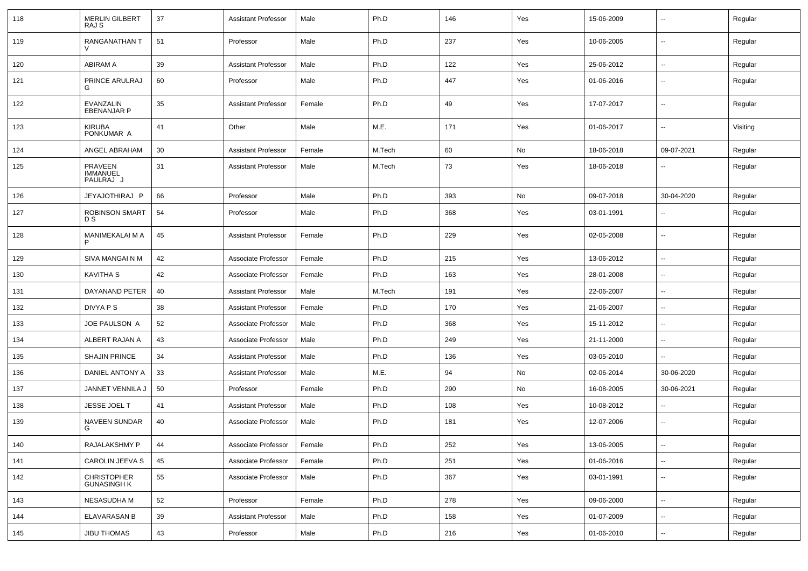| 118 | <b>MERLIN GILBERT</b><br>RAJ S          | 37 | <b>Assistant Professor</b> | Male   | Ph.D   | 146 | Yes | 15-06-2009 |                          | Regular  |
|-----|-----------------------------------------|----|----------------------------|--------|--------|-----|-----|------------|--------------------------|----------|
| 119 | RANGANATHAN T                           | 51 | Professor                  | Male   | Ph.D   | 237 | Yes | 10-06-2005 | н.                       | Regular  |
| 120 | <b>ABIRAM A</b>                         | 39 | <b>Assistant Professor</b> | Male   | Ph.D   | 122 | Yes | 25-06-2012 | --                       | Regular  |
| 121 | PRINCE ARULRAJ<br>G                     | 60 | Professor                  | Male   | Ph.D   | 447 | Yes | 01-06-2016 | $\overline{\phantom{a}}$ | Regular  |
| 122 | EVANZALIN<br><b>EBENANJAR P</b>         | 35 | <b>Assistant Professor</b> | Female | Ph.D   | 49  | Yes | 17-07-2017 | $\overline{\phantom{a}}$ | Regular  |
| 123 | KIRUBA<br>PONKUMAR A                    | 41 | Other                      | Male   | M.E.   | 171 | Yes | 01-06-2017 | ⊷.                       | Visiting |
| 124 | ANGEL ABRAHAM                           | 30 | <b>Assistant Professor</b> | Female | M.Tech | 60  | No  | 18-06-2018 | 09-07-2021               | Regular  |
| 125 | PRAVEEN<br><b>IMMANUEL</b><br>PAULRAJ J | 31 | <b>Assistant Professor</b> | Male   | M.Tech | 73  | Yes | 18-06-2018 | --                       | Regular  |
| 126 | JEYAJOTHIRAJ P                          | 66 | Professor                  | Male   | Ph.D   | 393 | No  | 09-07-2018 | 30-04-2020               | Regular  |
| 127 | <b>ROBINSON SMART</b><br>D S            | 54 | Professor                  | Male   | Ph.D   | 368 | Yes | 03-01-1991 | --                       | Regular  |
| 128 | MANIMEKALAI M A<br>P                    | 45 | <b>Assistant Professor</b> | Female | Ph.D   | 229 | Yes | 02-05-2008 | $\overline{\phantom{a}}$ | Regular  |
| 129 | SIVA MANGAI N M                         | 42 | Associate Professor        | Female | Ph.D   | 215 | Yes | 13-06-2012 | --                       | Regular  |
| 130 | <b>KAVITHA S</b>                        | 42 | Associate Professor        | Female | Ph.D   | 163 | Yes | 28-01-2008 | --                       | Regular  |
| 131 | DAYANAND PETER                          | 40 | <b>Assistant Professor</b> | Male   | M.Tech | 191 | Yes | 22-06-2007 | ⊷.                       | Regular  |
| 132 | DIVYA P S                               | 38 | <b>Assistant Professor</b> | Female | Ph.D   | 170 | Yes | 21-06-2007 | ⊷.                       | Regular  |
| 133 | JOE PAULSON A                           | 52 | Associate Professor        | Male   | Ph.D   | 368 | Yes | 15-11-2012 | ⊷.                       | Regular  |
| 134 | ALBERT RAJAN A                          | 43 | Associate Professor        | Male   | Ph.D   | 249 | Yes | 21-11-2000 | -−                       | Regular  |
| 135 | <b>SHAJIN PRINCE</b>                    | 34 | <b>Assistant Professor</b> | Male   | Ph.D   | 136 | Yes | 03-05-2010 | --                       | Regular  |
| 136 | DANIEL ANTONY A                         | 33 | <b>Assistant Professor</b> | Male   | M.E.   | 94  | No  | 02-06-2014 | 30-06-2020               | Regular  |
| 137 | JANNET VENNILA J                        | 50 | Professor                  | Female | Ph.D   | 290 | No  | 16-08-2005 | 30-06-2021               | Regular  |
| 138 | JESSE JOEL T                            | 41 | <b>Assistant Professor</b> | Male   | Ph.D   | 108 | Yes | 10-08-2012 | ⊷.                       | Regular  |
| 139 | <b>NAVEEN SUNDAR</b><br>G               | 40 | Associate Professor        | Male   | Ph.D   | 181 | Yes | 12-07-2006 | --                       | Regular  |
| 140 | RAJALAKSHMY P                           | 44 | Associate Professor        | Female | Ph.D   | 252 | Yes | 13-06-2005 | ⊷.                       | Regular  |
| 141 | CAROLIN JEEVA S                         | 45 | Associate Professor        | Female | Ph.D   | 251 | Yes | 01-06-2016 | н.                       | Regular  |
| 142 | CHRISTOPHER<br>GUNASINGH K              | 55 | Associate Professor        | Male   | Ph.D   | 367 | Yes | 03-01-1991 | $\sim$                   | Regular  |
| 143 | NESASUDHA M                             | 52 | Professor                  | Female | Ph.D   | 278 | Yes | 09-06-2000 | $\sim$                   | Regular  |
| 144 | ELAVARASAN B                            | 39 | <b>Assistant Professor</b> | Male   | Ph.D   | 158 | Yes | 01-07-2009 | $\sim$                   | Regular  |
| 145 | JIBU THOMAS                             | 43 | Professor                  | Male   | Ph.D   | 216 | Yes | 01-06-2010 | н.                       | Regular  |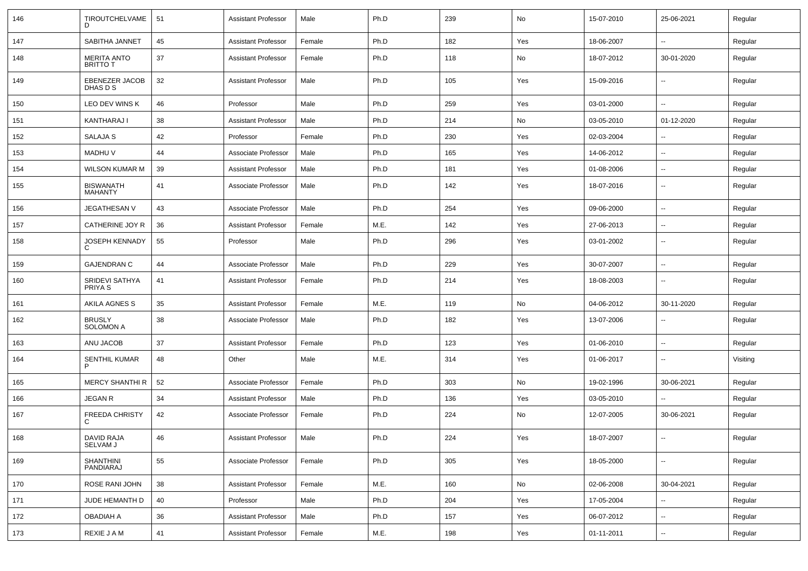| 146 | TIROUTCHELVAME<br>D                   | 51 | <b>Assistant Professor</b> | Male   | Ph.D | 239 | No  | 15-07-2010 | 25-06-2021               | Regular  |
|-----|---------------------------------------|----|----------------------------|--------|------|-----|-----|------------|--------------------------|----------|
| 147 | SABITHA JANNET                        | 45 | <b>Assistant Professor</b> | Female | Ph.D | 182 | Yes | 18-06-2007 | н.                       | Regular  |
| 148 | <b>MERITA ANTO</b><br><b>BRITTO T</b> | 37 | <b>Assistant Professor</b> | Female | Ph.D | 118 | No  | 18-07-2012 | 30-01-2020               | Regular  |
| 149 | EBENEZER JACOB<br>DHAS D S            | 32 | <b>Assistant Professor</b> | Male   | Ph.D | 105 | Yes | 15-09-2016 | ⊷.                       | Regular  |
| 150 | LEO DEV WINS K                        | 46 | Professor                  | Male   | Ph.D | 259 | Yes | 03-01-2000 | н.                       | Regular  |
| 151 | KANTHARAJ I                           | 38 | <b>Assistant Professor</b> | Male   | Ph.D | 214 | No  | 03-05-2010 | 01-12-2020               | Regular  |
| 152 | <b>SALAJA S</b>                       | 42 | Professor                  | Female | Ph.D | 230 | Yes | 02-03-2004 |                          | Regular  |
| 153 | <b>MADHUV</b>                         | 44 | Associate Professor        | Male   | Ph.D | 165 | Yes | 14-06-2012 | ⊷.                       | Regular  |
| 154 | <b>WILSON KUMAR M</b>                 | 39 | <b>Assistant Professor</b> | Male   | Ph.D | 181 | Yes | 01-08-2006 | ⊶.                       | Regular  |
| 155 | <b>BISWANATH</b><br><b>MAHANTY</b>    | 41 | Associate Professor        | Male   | Ph.D | 142 | Yes | 18-07-2016 | -−                       | Regular  |
| 156 | <b>JEGATHESAN V</b>                   | 43 | Associate Professor        | Male   | Ph.D | 254 | Yes | 09-06-2000 | -−                       | Regular  |
| 157 | CATHERINE JOY R                       | 36 | <b>Assistant Professor</b> | Female | M.E. | 142 | Yes | 27-06-2013 | н.                       | Regular  |
| 158 | <b>JOSEPH KENNADY</b><br>C.           | 55 | Professor                  | Male   | Ph.D | 296 | Yes | 03-01-2002 | --                       | Regular  |
| 159 | <b>GAJENDRAN C</b>                    | 44 | Associate Professor        | Male   | Ph.D | 229 | Yes | 30-07-2007 | $\overline{\phantom{a}}$ | Regular  |
| 160 | SRIDEVI SATHYA<br>PRIYA S             | 41 | <b>Assistant Professor</b> | Female | Ph.D | 214 | Yes | 18-08-2003 | --                       | Regular  |
| 161 | AKILA AGNES S                         | 35 | <b>Assistant Professor</b> | Female | M.E. | 119 | No  | 04-06-2012 | 30-11-2020               | Regular  |
| 162 | <b>BRUSLY</b><br><b>SOLOMON A</b>     | 38 | Associate Professor        | Male   | Ph.D | 182 | Yes | 13-07-2006 | --                       | Regular  |
| 163 | ANU JACOB                             | 37 | <b>Assistant Professor</b> | Female | Ph.D | 123 | Yes | 01-06-2010 | $\overline{\phantom{a}}$ | Regular  |
| 164 | <b>SENTHIL KUMAR</b><br>P             | 48 | Other                      | Male   | M.E. | 314 | Yes | 01-06-2017 | $\overline{\phantom{a}}$ | Visiting |
| 165 | <b>MERCY SHANTHI R</b>                | 52 | Associate Professor        | Female | Ph.D | 303 | No  | 19-02-1996 | 30-06-2021               | Regular  |
| 166 | <b>JEGAN R</b>                        | 34 | <b>Assistant Professor</b> | Male   | Ph.D | 136 | Yes | 03-05-2010 |                          | Regular  |
| 167 | FREEDA CHRISTY<br>C                   | 42 | Associate Professor        | Female | Ph.D | 224 | No  | 12-07-2005 | 30-06-2021               | Regular  |
| 168 | DAVID RAJA<br>SELVAM J                | 46 | <b>Assistant Professor</b> | Male   | Ph.D | 224 | Yes | 18-07-2007 | $\overline{\phantom{a}}$ | Regular  |
| 169 | SHANTHINI<br>PANDIARAJ                | 55 | Associate Professor        | Female | Ph.D | 305 | Yes | 18-05-2000 | $\overline{\phantom{a}}$ | Regular  |
| 170 | ROSE RANI JOHN                        | 38 | <b>Assistant Professor</b> | Female | M.E. | 160 | No  | 02-06-2008 | 30-04-2021               | Regular  |
| 171 | JUDE HEMANTH D                        | 40 | Professor                  | Male   | Ph.D | 204 | Yes | 17-05-2004 | $\overline{\phantom{a}}$ | Regular  |
| 172 | <b>OBADIAH A</b>                      | 36 | <b>Assistant Professor</b> | Male   | Ph.D | 157 | Yes | 06-07-2012 | н.                       | Regular  |
| 173 | REXIE J A M                           | 41 | <b>Assistant Professor</b> | Female | M.E. | 198 | Yes | 01-11-2011 | $\overline{\phantom{a}}$ | Regular  |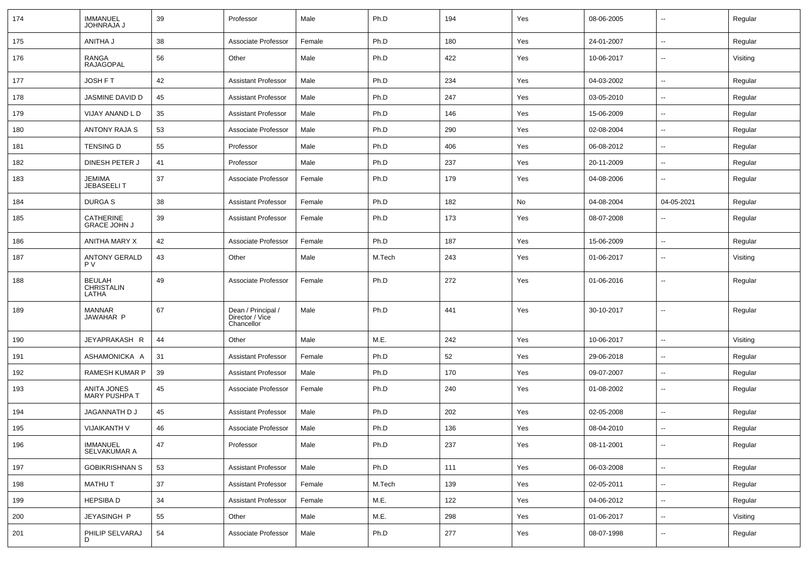| 174 | <b>IMMANUEL</b><br><b>JOHNRAJA J</b> | 39 | Professor                                           | Male   | Ph.D   | 194 | Yes | 08-06-2005 | $\overline{\phantom{a}}$ | Regular  |
|-----|--------------------------------------|----|-----------------------------------------------------|--------|--------|-----|-----|------------|--------------------------|----------|
| 175 | ANITHA J                             | 38 | Associate Professor                                 | Female | Ph.D   | 180 | Yes | 24-01-2007 | $\sim$                   | Regular  |
| 176 | RANGA<br><b>RAJAGOPAL</b>            | 56 | Other                                               | Male   | Ph.D   | 422 | Yes | 10-06-2017 | --                       | Visiting |
| 177 | JOSH F T                             | 42 | <b>Assistant Professor</b>                          | Male   | Ph.D   | 234 | Yes | 04-03-2002 | $\overline{a}$           | Regular  |
| 178 | JASMINE DAVID D                      | 45 | <b>Assistant Professor</b>                          | Male   | Ph.D   | 247 | Yes | 03-05-2010 | $\overline{a}$           | Regular  |
| 179 | VIJAY ANAND L D                      | 35 | <b>Assistant Professor</b>                          | Male   | Ph.D   | 146 | Yes | 15-06-2009 | --                       | Regular  |
| 180 | <b>ANTONY RAJA S</b>                 | 53 | Associate Professor                                 | Male   | Ph.D   | 290 | Yes | 02-08-2004 | --                       | Regular  |
| 181 | TENSING D                            | 55 | Professor                                           | Male   | Ph.D   | 406 | Yes | 06-08-2012 | $\overline{a}$           | Regular  |
| 182 | DINESH PETER J                       | 41 | Professor                                           | Male   | Ph.D   | 237 | Yes | 20-11-2009 | $\overline{a}$           | Regular  |
| 183 | <b>JEMIMA</b><br><b>JEBASEELIT</b>   | 37 | Associate Professor                                 | Female | Ph.D   | 179 | Yes | 04-08-2006 | ۰.                       | Regular  |
| 184 | <b>DURGAS</b>                        | 38 | <b>Assistant Professor</b>                          | Female | Ph.D   | 182 | No  | 04-08-2004 | 04-05-2021               | Regular  |
| 185 | CATHERINE<br><b>GRACE JOHN J</b>     | 39 | <b>Assistant Professor</b>                          | Female | Ph.D   | 173 | Yes | 08-07-2008 | ۰.                       | Regular  |
| 186 | ANITHA MARY X                        | 42 | Associate Professor                                 | Female | Ph.D   | 187 | Yes | 15-06-2009 | $\overline{a}$           | Regular  |
| 187 | ANTONY GERALD<br><b>PV</b>           | 43 | Other                                               | Male   | M.Tech | 243 | Yes | 01-06-2017 | ۰.                       | Visiting |
| 188 | <b>BEULAH</b><br>CHRISTALIN<br>LATHA | 49 | Associate Professor                                 | Female | Ph.D   | 272 | Yes | 01-06-2016 | --                       | Regular  |
| 189 | MANNAR<br>JAWAHAR P                  | 67 | Dean / Principal /<br>Director / Vice<br>Chancellor | Male   | Ph.D   | 441 | Yes | 30-10-2017 | --                       | Regular  |
| 190 | JEYAPRAKASH R                        | 44 | Other                                               | Male   | M.E.   | 242 | Yes | 10-06-2017 | $\overline{a}$           | Visiting |
| 191 | ASHAMONICKA A                        | 31 | Assistant Professor                                 | Female | Ph.D   | 52  | Yes | 29-06-2018 | ۰.                       | Regular  |
| 192 | <b>RAMESH KUMAR P</b>                | 39 | <b>Assistant Professor</b>                          | Male   | Ph.D   | 170 | Yes | 09-07-2007 | ۰.                       | Regular  |
| 193 | ANITA JONES<br><b>MARY PUSHPA T</b>  | 45 | Associate Professor                                 | Female | Ph.D   | 240 | Yes | 01-08-2002 | --                       | Regular  |
| 194 | JAGANNATH D J                        | 45 | <b>Assistant Professor</b>                          | Male   | Ph.D   | 202 | Yes | 02-05-2008 | --                       | Regular  |
| 195 | <b>VIJAIKANTH V</b>                  | 46 | Associate Professor                                 | Male   | Ph.D   | 136 | Yes | 08-04-2010 | $\sim$                   | Regular  |
| 196 | <b>IMMANUEL</b><br>SELVAKUMAR A      | 47 | Professor                                           | Male   | Ph.D   | 237 | Yes | 08-11-2001 | $\sim$                   | Regular  |
| 197 | <b>GOBIKRISHNAN S</b>                | 53 | Assistant Professor                                 | Male   | Ph.D   | 111 | Yes | 06-03-2008 | $\sim$                   | Regular  |
| 198 | <b>MATHUT</b>                        | 37 | Assistant Professor                                 | Female | M.Tech | 139 | Yes | 02-05-2011 | $\sim$                   | Regular  |
| 199 | <b>HEPSIBAD</b>                      | 34 | <b>Assistant Professor</b>                          | Female | M.E.   | 122 | Yes | 04-06-2012 | $\sim$                   | Regular  |
| 200 | JEYASINGH P                          | 55 | Other                                               | Male   | M.E.   | 298 | Yes | 01-06-2017 | $\sim$                   | Visiting |
| 201 | PHILIP SELVARAJ<br>D                 | 54 | Associate Professor                                 | Male   | Ph.D   | 277 | Yes | 08-07-1998 | --                       | Regular  |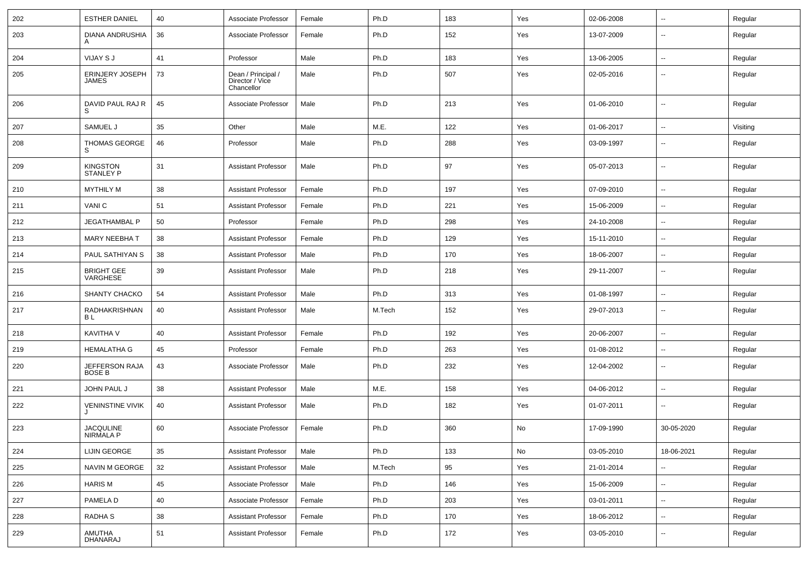| 202 | <b>ESTHER DANIEL</b>                | 40 | Associate Professor                                 | Female | Ph.D   | 183 | Yes | 02-06-2008 | $\overline{\phantom{a}}$ | Regular  |
|-----|-------------------------------------|----|-----------------------------------------------------|--------|--------|-----|-----|------------|--------------------------|----------|
| 203 | DIANA ANDRUSHIA<br>A                | 36 | Associate Professor                                 | Female | Ph.D   | 152 | Yes | 13-07-2009 | --                       | Regular  |
| 204 | VIJAY S J                           | 41 | Professor                                           | Male   | Ph.D   | 183 | Yes | 13-06-2005 | $\overline{\phantom{a}}$ | Regular  |
| 205 | ERINJERY JOSEPH<br><b>JAMES</b>     | 73 | Dean / Principal /<br>Director / Vice<br>Chancellor | Male   | Ph.D   | 507 | Yes | 02-05-2016 | --                       | Regular  |
| 206 | DAVID PAUL RAJ R<br>S               | 45 | Associate Professor                                 | Male   | Ph.D   | 213 | Yes | 01-06-2010 | $\overline{\phantom{a}}$ | Regular  |
| 207 | SAMUEL J                            | 35 | Other                                               | Male   | M.E.   | 122 | Yes | 01-06-2017 | $\overline{\phantom{a}}$ | Visiting |
| 208 | <b>THOMAS GEORGE</b><br>S           | 46 | Professor                                           | Male   | Ph.D   | 288 | Yes | 03-09-1997 | --                       | Regular  |
| 209 | <b>KINGSTON</b><br><b>STANLEY P</b> | 31 | <b>Assistant Professor</b>                          | Male   | Ph.D   | 97  | Yes | 05-07-2013 | $\overline{\phantom{a}}$ | Regular  |
| 210 | <b>MYTHILY M</b>                    | 38 | <b>Assistant Professor</b>                          | Female | Ph.D   | 197 | Yes | 07-09-2010 | --                       | Regular  |
| 211 | VANI C                              | 51 | <b>Assistant Professor</b>                          | Female | Ph.D   | 221 | Yes | 15-06-2009 | --                       | Regular  |
| 212 | <b>JEGATHAMBAL P</b>                | 50 | Professor                                           | Female | Ph.D   | 298 | Yes | 24-10-2008 | $\overline{\phantom{a}}$ | Regular  |
| 213 | MARY NEEBHA T                       | 38 | <b>Assistant Professor</b>                          | Female | Ph.D   | 129 | Yes | 15-11-2010 | $\overline{\phantom{a}}$ | Regular  |
| 214 | PAUL SATHIYAN S                     | 38 | <b>Assistant Professor</b>                          | Male   | Ph.D   | 170 | Yes | 18-06-2007 | $-$                      | Regular  |
| 215 | <b>BRIGHT GEE</b><br>VARGHESE       | 39 | <b>Assistant Professor</b>                          | Male   | Ph.D   | 218 | Yes | 29-11-2007 | $\overline{\phantom{a}}$ | Regular  |
| 216 | SHANTY CHACKO                       | 54 | <b>Assistant Professor</b>                          | Male   | Ph.D   | 313 | Yes | 01-08-1997 | $\overline{\phantom{a}}$ | Regular  |
| 217 | RADHAKRISHNAN<br>B L                | 40 | <b>Assistant Professor</b>                          | Male   | M.Tech | 152 | Yes | 29-07-2013 | $\overline{\phantom{a}}$ | Regular  |
| 218 | <b>KAVITHA V</b>                    | 40 | <b>Assistant Professor</b>                          | Female | Ph.D   | 192 | Yes | 20-06-2007 | $\overline{\phantom{a}}$ | Regular  |
| 219 | <b>HEMALATHA G</b>                  | 45 | Professor                                           | Female | Ph.D   | 263 | Yes | 01-08-2012 | $\overline{\phantom{a}}$ | Regular  |
| 220 | JEFFERSON RAJA<br>BOSE B            | 43 | Associate Professor                                 | Male   | Ph.D   | 232 | Yes | 12-04-2002 | $\overline{a}$           | Regular  |
| 221 | JOHN PAUL J                         | 38 | <b>Assistant Professor</b>                          | Male   | M.E.   | 158 | Yes | 04-06-2012 | $\overline{\phantom{a}}$ | Regular  |
| 222 | <b>VENINSTINE VIVIK</b>             | 40 | <b>Assistant Professor</b>                          | Male   | Ph.D   | 182 | Yes | 01-07-2011 | $\overline{\phantom{a}}$ | Regular  |
| 223 | JACQULINE<br>NIRMALA P              | 60 | Associate Professor                                 | Female | Ph.D   | 360 | No  | 17-09-1990 | 30-05-2020               | Regular  |
| 224 | LIJIN GEORGE                        | 35 | <b>Assistant Professor</b>                          | Male   | Ph.D   | 133 | No  | 03-05-2010 | 18-06-2021               | Regular  |
| 225 | NAVIN M GEORGE                      | 32 | <b>Assistant Professor</b>                          | Male   | M.Tech | 95  | Yes | 21-01-2014 | Щ,                       | Regular  |
| 226 | <b>HARIS M</b>                      | 45 | Associate Professor                                 | Male   | Ph.D   | 146 | Yes | 15-06-2009 | $\sim$                   | Regular  |
| 227 | PAMELA D                            | 40 | Associate Professor                                 | Female | Ph.D   | 203 | Yes | 03-01-2011 | $\overline{\phantom{a}}$ | Regular  |
| 228 | RADHA S                             | 38 | <b>Assistant Professor</b>                          | Female | Ph.D   | 170 | Yes | 18-06-2012 | $\sim$                   | Regular  |
| 229 | AMUTHA<br>DHANARAJ                  | 51 | <b>Assistant Professor</b>                          | Female | Ph.D   | 172 | Yes | 03-05-2010 | -−                       | Regular  |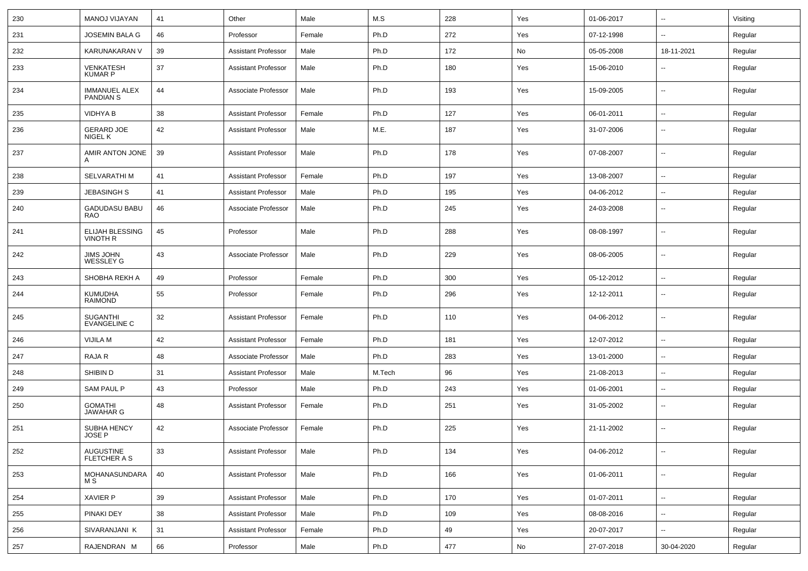| 230 | MANOJ VIJAYAN                            | 41 | Other                      | Male   | M.S    | 228 | Yes | 01-06-2017 | $\sim$                   | Visiting |
|-----|------------------------------------------|----|----------------------------|--------|--------|-----|-----|------------|--------------------------|----------|
| 231 | <b>JOSEMIN BALA G</b>                    | 46 | Professor                  | Female | Ph.D   | 272 | Yes | 07-12-1998 |                          | Regular  |
| 232 | KARUNAKARAN V                            | 39 | <b>Assistant Professor</b> | Male   | Ph.D   | 172 | No  | 05-05-2008 | 18-11-2021               | Regular  |
| 233 | <b>VENKATESH</b><br><b>KUMAR P</b>       | 37 | <b>Assistant Professor</b> | Male   | Ph.D   | 180 | Yes | 15-06-2010 | $\overline{\phantom{a}}$ | Regular  |
| 234 | <b>IMMANUEL ALEX</b><br><b>PANDIAN S</b> | 44 | Associate Professor        | Male   | Ph.D   | 193 | Yes | 15-09-2005 | $\overline{\phantom{a}}$ | Regular  |
| 235 | <b>VIDHYA B</b>                          | 38 | Assistant Professor        | Female | Ph.D   | 127 | Yes | 06-01-2011 | $\overline{\phantom{a}}$ | Regular  |
| 236 | <b>GERARD JOE</b><br>NIGEL K             | 42 | <b>Assistant Professor</b> | Male   | M.E.   | 187 | Yes | 31-07-2006 |                          | Regular  |
| 237 | AMIR ANTON JONE<br>A                     | 39 | <b>Assistant Professor</b> | Male   | Ph.D   | 178 | Yes | 07-08-2007 | --                       | Regular  |
| 238 | SELVARATHI M                             | 41 | <b>Assistant Professor</b> | Female | Ph.D   | 197 | Yes | 13-08-2007 | $\overline{\phantom{a}}$ | Regular  |
| 239 | <b>JEBASINGH S</b>                       | 41 | <b>Assistant Professor</b> | Male   | Ph.D   | 195 | Yes | 04-06-2012 | $\overline{\phantom{a}}$ | Regular  |
| 240 | <b>GADUDASU BABU</b><br><b>RAO</b>       | 46 | Associate Professor        | Male   | Ph.D   | 245 | Yes | 24-03-2008 | $\overline{\phantom{a}}$ | Regular  |
| 241 | ELIJAH BLESSING<br><b>VINOTH R</b>       | 45 | Professor                  | Male   | Ph.D   | 288 | Yes | 08-08-1997 | $\overline{\phantom{a}}$ | Regular  |
| 242 | JIMS JOHN<br><b>WESSLEY G</b>            | 43 | Associate Professor        | Male   | Ph.D   | 229 | Yes | 08-06-2005 | $\overline{\phantom{a}}$ | Regular  |
| 243 | SHOBHA REKH A                            | 49 | Professor                  | Female | Ph.D   | 300 | Yes | 05-12-2012 | $\sim$                   | Regular  |
| 244 | <b>KUMUDHA</b><br><b>RAIMOND</b>         | 55 | Professor                  | Female | Ph.D   | 296 | Yes | 12-12-2011 | --                       | Regular  |
| 245 | <b>SUGANTHI</b><br><b>EVANGELINE C</b>   | 32 | <b>Assistant Professor</b> | Female | Ph.D   | 110 | Yes | 04-06-2012 | $\overline{\phantom{a}}$ | Regular  |
| 246 | VIJILA M                                 | 42 | <b>Assistant Professor</b> | Female | Ph.D   | 181 | Yes | 12-07-2012 | --                       | Regular  |
| 247 | RAJA R                                   | 48 | Associate Professor        | Male   | Ph.D   | 283 | Yes | 13-01-2000 |                          | Regular  |
| 248 | SHIBIN D                                 | 31 | <b>Assistant Professor</b> | Male   | M.Tech | 96  | Yes | 21-08-2013 | $\overline{\phantom{a}}$ | Regular  |
| 249 | <b>SAM PAUL P</b>                        | 43 | Professor                  | Male   | Ph.D   | 243 | Yes | 01-06-2001 | $\overline{\phantom{a}}$ | Regular  |
| 250 | <b>GOMATHI</b><br><b>JAWAHAR G</b>       | 48 | <b>Assistant Professor</b> | Female | Ph.D   | 251 | Yes | 31-05-2002 | $\overline{\phantom{a}}$ | Regular  |
| 251 | SUBHA HENCY<br><b>JOSE P</b>             | 42 | Associate Professor        | Female | Ph.D   | 225 | Yes | 21-11-2002 | $\mathbf{u}$             | Regular  |
| 252 | AUGUSTINE<br>FLETCHER A S                | 33 | <b>Assistant Professor</b> | Male   | Ph.D   | 134 | Yes | 04-06-2012 | $\sim$                   | Regular  |
| 253 | MOHANASUNDARA<br>M S                     | 40 | <b>Assistant Professor</b> | Male   | Ph.D   | 166 | Yes | 01-06-2011 | $\sim$                   | Regular  |
| 254 | <b>XAVIER P</b>                          | 39 | <b>Assistant Professor</b> | Male   | Ph.D   | 170 | Yes | 01-07-2011 | $\sim$                   | Regular  |
| 255 | PINAKI DEY                               | 38 | <b>Assistant Professor</b> | Male   | Ph.D   | 109 | Yes | 08-08-2016 | $\sim$                   | Regular  |
| 256 | SIVARANJANI K                            | 31 | <b>Assistant Professor</b> | Female | Ph.D   | 49  | Yes | 20-07-2017 | $\sim$                   | Regular  |
| 257 | RAJENDRAN M                              | 66 | Professor                  | Male   | Ph.D   | 477 | No  | 27-07-2018 | 30-04-2020               | Regular  |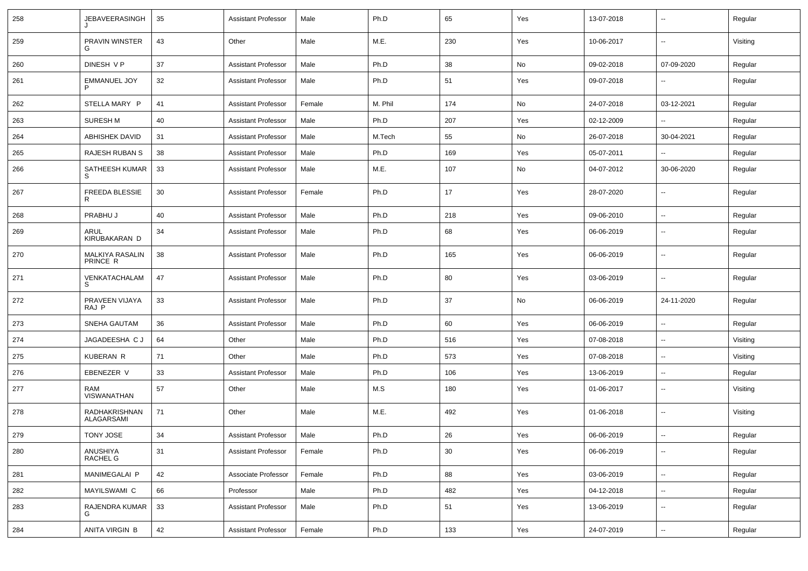| 258 | JEBAVEERASINGH              | 35 | <b>Assistant Professor</b> | Male   | Ph.D    | 65  | Yes | 13-07-2018 | $\overline{\phantom{a}}$ | Regular  |
|-----|-----------------------------|----|----------------------------|--------|---------|-----|-----|------------|--------------------------|----------|
| 259 | PRAVIN WINSTER<br>G         | 43 | Other                      | Male   | M.E.    | 230 | Yes | 10-06-2017 | ⊷.                       | Visiting |
| 260 | DINESH V P                  | 37 | <b>Assistant Professor</b> | Male   | Ph.D    | 38  | No  | 09-02-2018 | 07-09-2020               | Regular  |
| 261 | <b>EMMANUEL JOY</b>         | 32 | <b>Assistant Professor</b> | Male   | Ph.D    | 51  | Yes | 09-07-2018 | ⊷.                       | Regular  |
| 262 | STELLA MARY P               | 41 | <b>Assistant Professor</b> | Female | M. Phil | 174 | No  | 24-07-2018 | 03-12-2021               | Regular  |
| 263 | <b>SURESH M</b>             | 40 | <b>Assistant Professor</b> | Male   | Ph.D    | 207 | Yes | 02-12-2009 | --                       | Regular  |
| 264 | <b>ABHISHEK DAVID</b>       | 31 | <b>Assistant Professor</b> | Male   | M.Tech  | 55  | No  | 26-07-2018 | 30-04-2021               | Regular  |
| 265 | RAJESH RUBAN S              | 38 | <b>Assistant Professor</b> | Male   | Ph.D    | 169 | Yes | 05-07-2011 | -−                       | Regular  |
| 266 | SATHEESH KUMAR<br>S         | 33 | <b>Assistant Professor</b> | Male   | M.E.    | 107 | No  | 04-07-2012 | 30-06-2020               | Regular  |
| 267 | FREEDA BLESSIE<br>R         | 30 | <b>Assistant Professor</b> | Female | Ph.D    | 17  | Yes | 28-07-2020 | ⊷.                       | Regular  |
| 268 | PRABHU J                    | 40 | <b>Assistant Professor</b> | Male   | Ph.D    | 218 | Yes | 09-06-2010 | $\sim$                   | Regular  |
| 269 | ARUL<br>KIRUBAKARAN D       | 34 | <b>Assistant Professor</b> | Male   | Ph.D    | 68  | Yes | 06-06-2019 | ⊷.                       | Regular  |
| 270 | MALKIYA RASALIN<br>PRINCE R | 38 | <b>Assistant Professor</b> | Male   | Ph.D    | 165 | Yes | 06-06-2019 | н.                       | Regular  |
| 271 | VENKATACHALAM<br>S          | 47 | <b>Assistant Professor</b> | Male   | Ph.D    | 80  | Yes | 03-06-2019 | ⊷.                       | Regular  |
| 272 | PRAVEEN VIJAYA<br>RAJ P     | 33 | <b>Assistant Professor</b> | Male   | Ph.D    | 37  | No  | 06-06-2019 | 24-11-2020               | Regular  |
| 273 | SNEHA GAUTAM                | 36 | <b>Assistant Professor</b> | Male   | Ph.D    | 60  | Yes | 06-06-2019 | $\sim$                   | Regular  |
| 274 | JAGADEESHA C J              | 64 | Other                      | Male   | Ph.D    | 516 | Yes | 07-08-2018 | н.                       | Visiting |
| 275 | <b>KUBERAN R</b>            | 71 | Other                      | Male   | Ph.D    | 573 | Yes | 07-08-2018 | -−                       | Visiting |
| 276 | EBENEZER V                  | 33 | <b>Assistant Professor</b> | Male   | Ph.D    | 106 | Yes | 13-06-2019 | н.                       | Regular  |
| 277 | RAM<br>VISWANATHAN          | 57 | Other                      | Male   | M.S     | 180 | Yes | 01-06-2017 | н.                       | Visiting |
| 278 | RADHAKRISHNAN<br>ALAGARSAMI | 71 | Other                      | Male   | M.E.    | 492 | Yes | 01-06-2018 | $\sim$                   | Visiting |
| 279 | TONY JOSE                   | 34 | <b>Assistant Professor</b> | Male   | Ph.D    | 26  | Yes | 06-06-2019 | --                       | Regular  |
| 280 | ANUSHIYA<br>RACHEL G        | 31 | <b>Assistant Professor</b> | Female | Ph.D    | 30  | Yes | 06-06-2019 | $\sim$                   | Regular  |
| 281 | MANIMEGALAI P               | 42 | Associate Professor        | Female | Ph.D    | 88  | Yes | 03-06-2019 | $\sim$                   | Regular  |
| 282 | MAYILSWAMI C                | 66 | Professor                  | Male   | Ph.D    | 482 | Yes | 04-12-2018 | $\sim$                   | Regular  |
| 283 | RAJENDRA KUMAR<br>G         | 33 | <b>Assistant Professor</b> | Male   | Ph.D    | 51  | Yes | 13-06-2019 | $\sim$                   | Regular  |
| 284 | ANITA VIRGIN B              | 42 | <b>Assistant Professor</b> | Female | Ph.D    | 133 | Yes | 24-07-2019 | $\sim$                   | Regular  |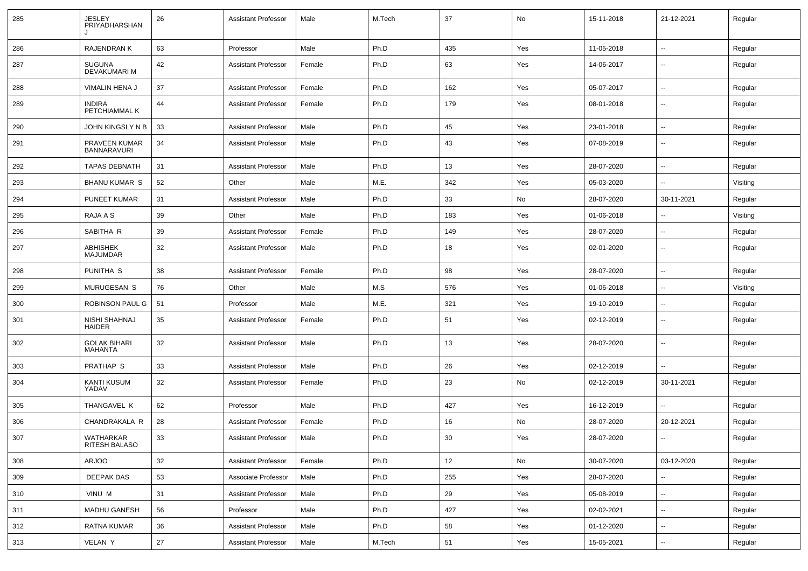| 285 | <b>JESLEY</b><br>PRIYADHARSHAN      | 26 | <b>Assistant Professor</b> | Male   | M.Tech | 37  | No  | 15-11-2018 | 21-12-2021               | Regular  |
|-----|-------------------------------------|----|----------------------------|--------|--------|-----|-----|------------|--------------------------|----------|
| 286 | <b>RAJENDRANK</b>                   | 63 | Professor                  | Male   | Ph.D   | 435 | Yes | 11-05-2018 | $\overline{\phantom{a}}$ | Regular  |
| 287 | SUGUNA<br>DEVAKUMARI M              | 42 | <b>Assistant Professor</b> | Female | Ph.D   | 63  | Yes | 14-06-2017 | ⊷.                       | Regular  |
| 288 | VIMALIN HENA J                      | 37 | <b>Assistant Professor</b> | Female | Ph.D   | 162 | Yes | 05-07-2017 | ⊷.                       | Regular  |
| 289 | <b>INDIRA</b><br>PETCHIAMMAL K      | 44 | <b>Assistant Professor</b> | Female | Ph.D   | 179 | Yes | 08-01-2018 | $\overline{\phantom{a}}$ | Regular  |
| 290 | JOHN KINGSLY N B                    | 33 | <b>Assistant Professor</b> | Male   | Ph.D   | 45  | Yes | 23-01-2018 | $\overline{\phantom{a}}$ | Regular  |
| 291 | PRAVEEN KUMAR<br><b>BANNARAVURI</b> | 34 | <b>Assistant Professor</b> | Male   | Ph.D   | 43  | Yes | 07-08-2019 | --                       | Regular  |
| 292 | <b>TAPAS DEBNATH</b>                | 31 | <b>Assistant Professor</b> | Male   | Ph.D   | 13  | Yes | 28-07-2020 | --                       | Regular  |
| 293 | <b>BHANU KUMAR S</b>                | 52 | Other                      | Male   | M.E.   | 342 | Yes | 05-03-2020 | $\overline{a}$           | Visiting |
| 294 | PUNEET KUMAR                        | 31 | <b>Assistant Professor</b> | Male   | Ph.D   | 33  | No  | 28-07-2020 | 30-11-2021               | Regular  |
| 295 | RAJA A S                            | 39 | Other                      | Male   | Ph.D   | 183 | Yes | 01-06-2018 | $\overline{a}$           | Visiting |
| 296 | SABITHA R                           | 39 | <b>Assistant Professor</b> | Female | Ph.D   | 149 | Yes | 28-07-2020 | ⊷.                       | Regular  |
| 297 | ABHISHEK<br><b>MAJUMDAR</b>         | 32 | <b>Assistant Professor</b> | Male   | Ph.D   | 18  | Yes | 02-01-2020 | --                       | Regular  |
| 298 | PUNITHA <sub>S</sub>                | 38 | <b>Assistant Professor</b> | Female | Ph.D   | 98  | Yes | 28-07-2020 | $\overline{\phantom{a}}$ | Regular  |
| 299 | MURUGESAN S                         | 76 | Other                      | Male   | M.S    | 576 | Yes | 01-06-2018 | --                       | Visiting |
| 300 | ROBINSON PAUL G                     | 51 | Professor                  | Male   | M.E.   | 321 | Yes | 19-10-2019 | --                       | Regular  |
| 301 | NISHI SHAHNAJ<br>HAIDER             | 35 | <b>Assistant Professor</b> | Female | Ph.D   | 51  | Yes | 02-12-2019 | $\overline{\phantom{a}}$ | Regular  |
| 302 | <b>GOLAK BIHARI</b><br>MAHANTA      | 32 | <b>Assistant Professor</b> | Male   | Ph.D   | 13  | Yes | 28-07-2020 | $\overline{\phantom{a}}$ | Regular  |
| 303 | PRATHAP S                           | 33 | <b>Assistant Professor</b> | Male   | Ph.D   | 26  | Yes | 02-12-2019 | $\overline{\phantom{a}}$ | Regular  |
| 304 | <b>KANTI KUSUM</b><br>YADAV         | 32 | <b>Assistant Professor</b> | Female | Ph.D   | 23  | No  | 02-12-2019 | 30-11-2021               | Regular  |
| 305 | THANGAVEL K                         | 62 | Professor                  | Male   | Ph.D   | 427 | Yes | 16-12-2019 | $\overline{\phantom{a}}$ | Regular  |
| 306 | CHANDRAKALA R                       | 28 | <b>Assistant Professor</b> | Female | Ph.D   | 16  | No  | 28-07-2020 | 20-12-2021               | Regular  |
| 307 | <b>WATHARKAR</b><br>RITESH BALASO   | 33 | <b>Assistant Professor</b> | Male   | Ph.D   | 30  | Yes | 28-07-2020 | $\sim$                   | Regular  |
| 308 | ARJOO                               | 32 | <b>Assistant Professor</b> | Female | Ph.D   | 12  | No  | 30-07-2020 | 03-12-2020               | Regular  |
| 309 | <b>DEEPAK DAS</b>                   | 53 | Associate Professor        | Male   | Ph.D   | 255 | Yes | 28-07-2020 | $\overline{\phantom{a}}$ | Regular  |
| 310 | VINU M                              | 31 | <b>Assistant Professor</b> | Male   | Ph.D   | 29  | Yes | 05-08-2019 | $\sim$                   | Regular  |
| 311 | MADHU GANESH                        | 56 | Professor                  | Male   | Ph.D   | 427 | Yes | 02-02-2021 | $\sim$                   | Regular  |
| 312 | <b>RATNA KUMAR</b>                  | 36 | <b>Assistant Professor</b> | Male   | Ph.D   | 58  | Yes | 01-12-2020 | $\sim$                   | Regular  |
| 313 | VELAN Y                             | 27 | <b>Assistant Professor</b> | Male   | M.Tech | 51  | Yes | 15-05-2021 | $\sim$                   | Regular  |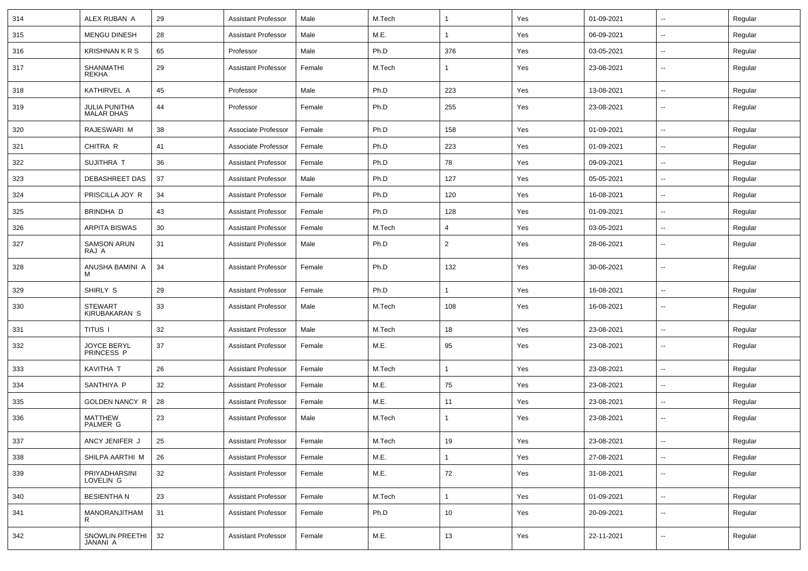| 314 | ALEX RUBAN A                              | 29 | <b>Assistant Professor</b> | Male   | M.Tech |              | Yes | 01-09-2021 | $\overline{\phantom{a}}$ | Regular |
|-----|-------------------------------------------|----|----------------------------|--------|--------|--------------|-----|------------|--------------------------|---------|
| 315 | <b>MENGU DINESH</b>                       | 28 | <b>Assistant Professor</b> | Male   | M.E.   | $\mathbf{1}$ | Yes | 06-09-2021 | --                       | Regular |
| 316 | <b>KRISHNAN K R S</b>                     | 65 | Professor                  | Male   | Ph.D   | 376          | Yes | 03-05-2021 | --                       | Regular |
| 317 | <b>SHANMATHI</b><br><b>REKHA</b>          | 29 | <b>Assistant Professor</b> | Female | M.Tech | -1           | Yes | 23-08-2021 | $\overline{\phantom{a}}$ | Regular |
| 318 | KATHIRVEL A                               | 45 | Professor                  | Male   | Ph.D   | 223          | Yes | 13-08-2021 | $\overline{a}$           | Regular |
| 319 | <b>JULIA PUNITHA</b><br><b>MALAR DHAS</b> | 44 | Professor                  | Female | Ph.D   | 255          | Yes | 23-08-2021 | --                       | Regular |
| 320 | RAJESWARI M                               | 38 | Associate Professor        | Female | Ph.D   | 158          | Yes | 01-09-2021 | $\overline{\phantom{a}}$ | Regular |
| 321 | CHITRA R                                  | 41 | Associate Professor        | Female | Ph.D   | 223          | Yes | 01-09-2021 | $\overline{\phantom{a}}$ | Regular |
| 322 | SUJITHRA T                                | 36 | <b>Assistant Professor</b> | Female | Ph.D   | 78           | Yes | 09-09-2021 | н.                       | Regular |
| 323 | DEBASHREET DAS                            | 37 | <b>Assistant Professor</b> | Male   | Ph.D   | 127          | Yes | 05-05-2021 | --                       | Regular |
| 324 | PRISCILLA JOY R                           | 34 | <b>Assistant Professor</b> | Female | Ph.D   | 120          | Yes | 16-08-2021 | --                       | Regular |
| 325 | BRINDHA D                                 | 43 | <b>Assistant Professor</b> | Female | Ph.D   | 128          | Yes | 01-09-2021 | --                       | Regular |
| 326 | <b>ARPITA BISWAS</b>                      | 30 | <b>Assistant Professor</b> | Female | M.Tech | 4            | Yes | 03-05-2021 | --                       | Regular |
| 327 | <b>SAMSON ARUN</b><br>RAJ A               | 31 | <b>Assistant Professor</b> | Male   | Ph.D   | 2            | Yes | 28-06-2021 | $\overline{\phantom{a}}$ | Regular |
| 328 | ANUSHA BAMINI A<br>M                      | 34 | <b>Assistant Professor</b> | Female | Ph.D   | 132          | Yes | 30-06-2021 | $\overline{\phantom{a}}$ | Regular |
| 329 | SHIRLY S                                  | 29 | <b>Assistant Professor</b> | Female | Ph.D   | 1            | Yes | 16-08-2021 | $\overline{\phantom{a}}$ | Regular |
| 330 | <b>STEWART</b><br>KIRUBAKARAN S           | 33 | <b>Assistant Professor</b> | Male   | M.Tech | 108          | Yes | 16-08-2021 | $\overline{\phantom{a}}$ | Regular |
| 331 | <b>TITUS I</b>                            | 32 | <b>Assistant Professor</b> | Male   | M.Tech | 18           | Yes | 23-08-2021 | ⊷.                       | Regular |
| 332 | JOYCE BERYL<br>PRINCESS P                 | 37 | <b>Assistant Professor</b> | Female | M.E.   | 95           | Yes | 23-08-2021 | --                       | Regular |
| 333 | KAVITHA T                                 | 26 | <b>Assistant Professor</b> | Female | M.Tech | $\mathbf{1}$ | Yes | 23-08-2021 | --                       | Regular |
| 334 | SANTHIYA P                                | 32 | <b>Assistant Professor</b> | Female | M.E.   | 75           | Yes | 23-08-2021 | --                       | Regular |
| 335 | GOLDEN NANCY R                            | 28 | <b>Assistant Professor</b> | Female | M.E.   | 11           | Yes | 23-08-2021 | --                       | Regular |
| 336 | <b>MATTHEW</b><br><b>PALMER G</b>         | 23 | <b>Assistant Professor</b> | Male   | M.Tech | $\mathbf{1}$ | Yes | 23-08-2021 | --                       | Regular |
| 337 | ANCY JENIFER J                            | 25 | Assistant Professor        | Female | M.Tech | 19           | Yes | 23-08-2021 |                          | Regular |
| 338 | SHILPA AARTHI M                           | 26 | Assistant Professor        | Female | M.E.   | $\mathbf{1}$ | Yes | 27-08-2021 | $\sim$                   | Regular |
| 339 | PRIYADHARSINI<br>LOVELIN G                | 32 | <b>Assistant Professor</b> | Female | M.E.   | 72           | Yes | 31-08-2021 | $\sim$                   | Regular |
| 340 | <b>BESIENTHAN</b>                         | 23 | <b>Assistant Professor</b> | Female | M.Tech | $\mathbf{1}$ | Yes | 01-09-2021 | $\overline{\phantom{a}}$ | Regular |
| 341 | MANORANJITHAM<br>R                        | 31 | <b>Assistant Professor</b> | Female | Ph.D   | 10           | Yes | 20-09-2021 | $\overline{\phantom{a}}$ | Regular |
| 342 | SNOWLIN PREETHI<br>JANANI A               | 32 | <b>Assistant Professor</b> | Female | M.E.   | 13           | Yes | 22-11-2021 | н.                       | Regular |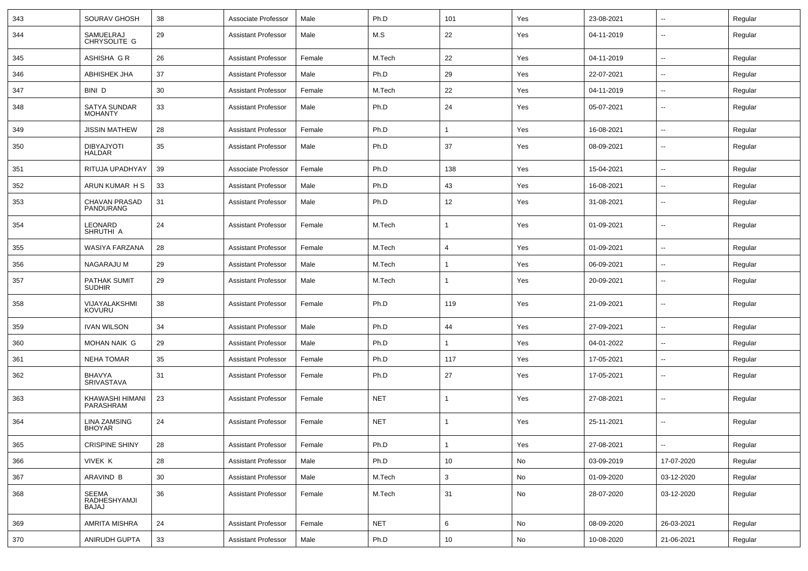| 343 | SOURAV GHOSH                                 | 38 | Associate Professor        | Male   | Ph.D       | 101            | Yes | 23-08-2021 | $\overline{\phantom{a}}$ | Regular |
|-----|----------------------------------------------|----|----------------------------|--------|------------|----------------|-----|------------|--------------------------|---------|
| 344 | SAMUELRAJ<br>CHRYSOLITE G                    | 29 | <b>Assistant Professor</b> | Male   | M.S        | 22             | Yes | 04-11-2019 | --                       | Regular |
| 345 | ASHISHA G R                                  | 26 | <b>Assistant Professor</b> | Female | M.Tech     | 22             | Yes | 04-11-2019 | $\overline{\phantom{a}}$ | Regular |
| 346 | <b>ABHISHEK JHA</b>                          | 37 | <b>Assistant Professor</b> | Male   | Ph.D       | 29             | Yes | 22-07-2021 | --                       | Regular |
| 347 | BINI D                                       | 30 | <b>Assistant Professor</b> | Female | M.Tech     | 22             | Yes | 04-11-2019 | --                       | Regular |
| 348 | SATYA SUNDAR<br><b>MOHANTY</b>               | 33 | <b>Assistant Professor</b> | Male   | Ph.D       | 24             | Yes | 05-07-2021 | --                       | Regular |
| 349 | <b>JISSIN MATHEW</b>                         | 28 | <b>Assistant Professor</b> | Female | Ph.D       | $\overline{1}$ | Yes | 16-08-2021 | $\overline{a}$           | Regular |
| 350 | <b>DIBYAJYOTI</b><br>HALDAR                  | 35 | <b>Assistant Professor</b> | Male   | Ph.D       | 37             | Yes | 08-09-2021 | $\overline{\phantom{a}}$ | Regular |
| 351 | RITUJA UPADHYAY                              | 39 | Associate Professor        | Female | Ph.D       | 138            | Yes | 15-04-2021 | $\overline{\phantom{a}}$ | Regular |
| 352 | ARUN KUMAR H S                               | 33 | <b>Assistant Professor</b> | Male   | Ph.D       | 43             | Yes | 16-08-2021 | $\overline{\phantom{a}}$ | Regular |
| 353 | CHAVAN PRASAD<br>PANDURANG                   | 31 | <b>Assistant Professor</b> | Male   | Ph.D       | 12             | Yes | 31-08-2021 | --                       | Regular |
| 354 | LEONARD<br>SHRUTHI A                         | 24 | <b>Assistant Professor</b> | Female | M.Tech     | $\mathbf{1}$   | Yes | 01-09-2021 | --                       | Regular |
| 355 | WASIYA FARZANA                               | 28 | <b>Assistant Professor</b> | Female | M.Tech     | 4              | Yes | 01-09-2021 | $\overline{\phantom{a}}$ | Regular |
| 356 | NAGARAJU M                                   | 29 | <b>Assistant Professor</b> | Male   | M.Tech     | -1             | Yes | 06-09-2021 | --                       | Regular |
| 357 | <b>PATHAK SUMIT</b><br><b>SUDHIR</b>         | 29 | <b>Assistant Professor</b> | Male   | M.Tech     | -1             | Yes | 20-09-2021 | --                       | Regular |
| 358 | VIJAYALAKSHMI<br>KOVURU                      | 38 | <b>Assistant Professor</b> | Female | Ph.D       | 119            | Yes | 21-09-2021 | $\overline{\phantom{a}}$ | Regular |
| 359 | <b>IVAN WILSON</b>                           | 34 | <b>Assistant Professor</b> | Male   | Ph.D       | 44             | Yes | 27-09-2021 | --                       | Regular |
| 360 | <b>MOHAN NAIK G</b>                          | 29 | <b>Assistant Professor</b> | Male   | Ph.D       | $\overline{1}$ | Yes | 04-01-2022 |                          | Regular |
| 361 | <b>NEHA TOMAR</b>                            | 35 | <b>Assistant Professor</b> | Female | Ph.D       | 117            | Yes | 17-05-2021 | $\overline{\phantom{a}}$ | Regular |
| 362 | BHAVYA<br>SRIVASTAVA                         | 31 | <b>Assistant Professor</b> | Female | Ph.D       | 27             | Yes | 17-05-2021 | $\overline{\phantom{a}}$ | Regular |
| 363 | KHAWASHI HIMANI<br>PARASHRAM                 | 23 | <b>Assistant Professor</b> | Female | <b>NET</b> | -1             | Yes | 27-08-2021 | $\overline{\phantom{a}}$ | Regular |
| 364 | <b>LINA ZAMSING</b><br><b>BHOYAR</b>         | 24 | <b>Assistant Professor</b> | Female | <b>NET</b> | $\mathbf 1$    | Yes | 25-11-2021 | $\overline{\phantom{a}}$ | Regular |
| 365 | <b>CRISPINE SHINY</b>                        | 28 | <b>Assistant Professor</b> | Female | Ph.D       | -1             | Yes | 27-08-2021 | $\sim$                   | Regular |
| 366 | VIVEK K                                      | 28 | <b>Assistant Professor</b> | Male   | Ph.D       | 10             | No  | 03-09-2019 | 17-07-2020               | Regular |
| 367 | ARAVIND B                                    | 30 | <b>Assistant Professor</b> | Male   | M.Tech     | 3              | No  | 01-09-2020 | 03-12-2020               | Regular |
| 368 | <b>SEEMA</b><br>RADHESHYAMJI<br><b>BAJAJ</b> | 36 | <b>Assistant Professor</b> | Female | M.Tech     | 31             | No  | 28-07-2020 | 03-12-2020               | Regular |
| 369 | AMRITA MISHRA                                | 24 | <b>Assistant Professor</b> | Female | <b>NET</b> | 6              | No  | 08-09-2020 | 26-03-2021               | Regular |
| 370 | ANIRUDH GUPTA                                | 33 | <b>Assistant Professor</b> | Male   | Ph.D       | 10             | No  | 10-08-2020 | 21-06-2021               | Regular |